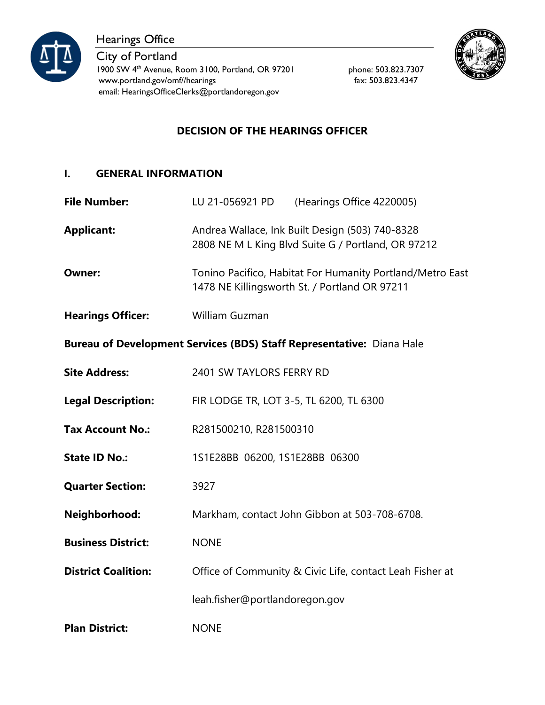

Hearings Office

City of Portland 1900 SW 4<sup>th</sup> Avenue, Room 3100, Portland, OR 97201 phone: 503.823.7307 www.portland.gov/omf//hearings fax: 503.823.4347 email: HearingsOfficeClerks@portlandoregon.gov



# **DECISION OF THE HEARINGS OFFICER**

## **I. GENERAL INFORMATION**

| <b>File Number:</b>                                                   | LU 21-056921 PD<br>(Hearings Office 4220005)                                                               |  |
|-----------------------------------------------------------------------|------------------------------------------------------------------------------------------------------------|--|
| <b>Applicant:</b>                                                     | Andrea Wallace, Ink Built Design (503) 740-8328<br>2808 NE M L King Blvd Suite G / Portland, OR 97212      |  |
| <b>Owner:</b>                                                         | Tonino Pacifico, Habitat For Humanity Portland/Metro East<br>1478 NE Killingsworth St. / Portland OR 97211 |  |
| <b>Hearings Officer:</b>                                              | William Guzman                                                                                             |  |
| Bureau of Development Services (BDS) Staff Representative: Diana Hale |                                                                                                            |  |
| <b>Site Address:</b>                                                  | 2401 SW TAYLORS FERRY RD                                                                                   |  |
| <b>Legal Description:</b>                                             | FIR LODGE TR, LOT 3-5, TL 6200, TL 6300                                                                    |  |
| <b>Tax Account No.:</b>                                               | R281500210, R281500310                                                                                     |  |
| <b>State ID No.:</b>                                                  | 1S1E28BB 06200, 1S1E28BB 06300                                                                             |  |
| <b>Quarter Section:</b>                                               | 3927                                                                                                       |  |
| Neighborhood:                                                         | Markham, contact John Gibbon at 503-708-6708.                                                              |  |
| <b>Business District:</b>                                             | <b>NONE</b>                                                                                                |  |
| <b>District Coalition:</b>                                            | Office of Community & Civic Life, contact Leah Fisher at                                                   |  |
|                                                                       | leah.fisher@portlandoregon.gov                                                                             |  |
| <b>Plan District:</b>                                                 | <b>NONE</b>                                                                                                |  |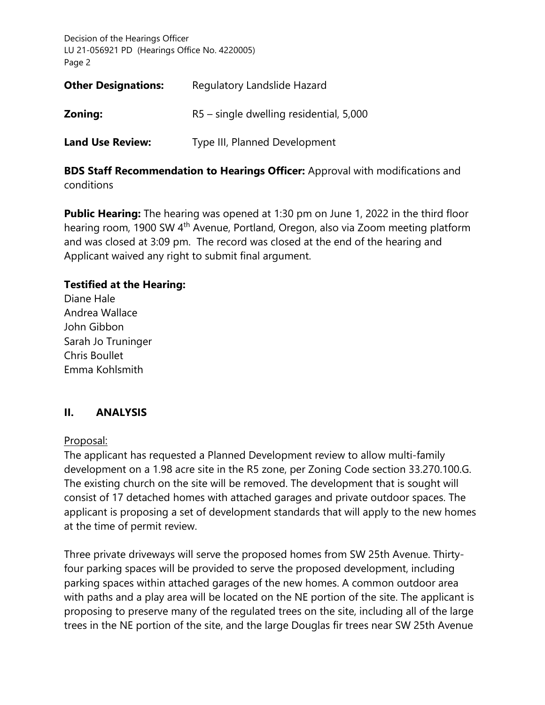| <b>Other Designations:</b> | Regulatory Landslide Hazard             |  |
|----------------------------|-----------------------------------------|--|
| Zoning:                    | R5 – single dwelling residential, 5,000 |  |
| <b>Land Use Review:</b>    | Type III, Planned Development           |  |

**BDS Staff Recommendation to Hearings Officer:** Approval with modifications and conditions

**Public Hearing:** The hearing was opened at 1:30 pm on June 1, 2022 in the third floor hearing room, 1900 SW 4th Avenue, Portland, Oregon, also via Zoom meeting platform and was closed at 3:09 pm. The record was closed at the end of the hearing and Applicant waived any right to submit final argument.

## **Testified at the Hearing:**

Diane Hale Andrea Wallace John Gibbon Sarah Jo Truninger Chris Boullet Emma Kohlsmith

## **II. ANALYSIS**

## Proposal:

The applicant has requested a Planned Development review to allow multi-family development on a 1.98 acre site in the R5 zone, per Zoning Code section 33.270.100.G. The existing church on the site will be removed. The development that is sought will consist of 17 detached homes with attached garages and private outdoor spaces. The applicant is proposing a set of development standards that will apply to the new homes at the time of permit review.

Three private driveways will serve the proposed homes from SW 25th Avenue. Thirtyfour parking spaces will be provided to serve the proposed development, including parking spaces within attached garages of the new homes. A common outdoor area with paths and a play area will be located on the NE portion of the site. The applicant is proposing to preserve many of the regulated trees on the site, including all of the large trees in the NE portion of the site, and the large Douglas fir trees near SW 25th Avenue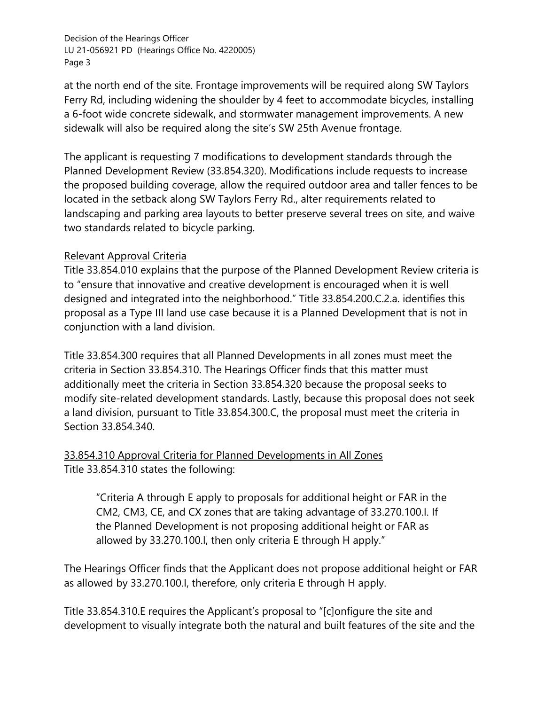at the north end of the site. Frontage improvements will be required along SW Taylors Ferry Rd, including widening the shoulder by 4 feet to accommodate bicycles, installing a 6-foot wide concrete sidewalk, and stormwater management improvements. A new sidewalk will also be required along the site's SW 25th Avenue frontage.

The applicant is requesting 7 modifications to development standards through the Planned Development Review (33.854.320). Modifications include requests to increase the proposed building coverage, allow the required outdoor area and taller fences to be located in the setback along SW Taylors Ferry Rd., alter requirements related to landscaping and parking area layouts to better preserve several trees on site, and waive two standards related to bicycle parking.

### Relevant Approval Criteria

Title 33.854.010 explains that the purpose of the Planned Development Review criteria is to "ensure that innovative and creative development is encouraged when it is well designed and integrated into the neighborhood." Title 33.854.200.C.2.a. identifies this proposal as a Type III land use case because it is a Planned Development that is not in conjunction with a land division.

Title 33.854.300 requires that all Planned Developments in all zones must meet the criteria in Section 33.854.310. The Hearings Officer finds that this matter must additionally meet the criteria in Section 33.854.320 because the proposal seeks to modify site-related development standards. Lastly, because this proposal does not seek a land division, pursuant to Title 33.854.300.C, the proposal must meet the criteria in Section 33.854.340.

## 33.854.310 Approval Criteria for Planned Developments in All Zones Title 33.854.310 states the following:

"Criteria A through E apply to proposals for additional height or FAR in the CM2, CM3, CE, and CX zones that are taking advantage of 33.270.100.I. If the Planned Development is not proposing additional height or FAR as allowed by 33.270.100.I, then only criteria E through H apply."

The Hearings Officer finds that the Applicant does not propose additional height or FAR as allowed by 33.270.100.I, therefore, only criteria E through H apply.

Title 33.854.310.E requires the Applicant's proposal to "[c]onfigure the site and development to visually integrate both the natural and built features of the site and the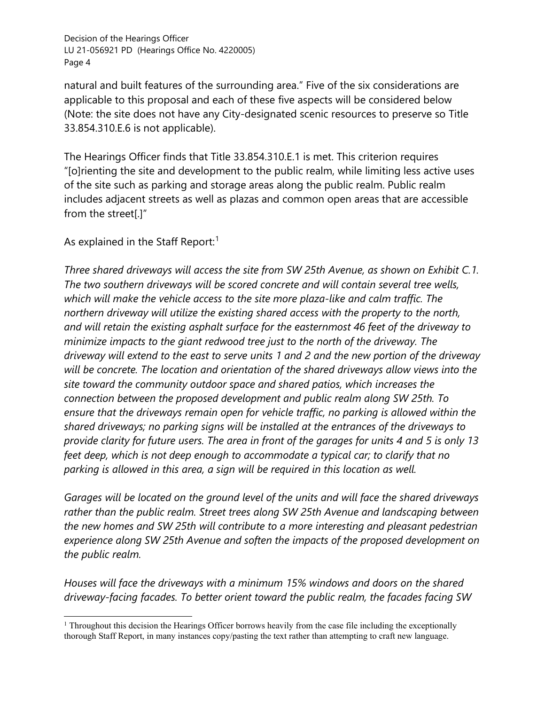natural and built features of the surrounding area." Five of the six considerations are applicable to this proposal and each of these five aspects will be considered below (Note: the site does not have any City-designated scenic resources to preserve so Title 33.854.310.E.6 is not applicable).

The Hearings Officer finds that Title 33.854.310.E.1 is met. This criterion requires "[o]rienting the site and development to the public realm, while limiting less active uses of the site such as parking and storage areas along the public realm. Public realm includes adjacent streets as well as plazas and common open areas that are accessible from the street[.]"

As explained in the Staff Report:<sup>[1](#page-3-0)</sup>

*Three shared driveways will access the site from SW 25th Avenue, as shown on Exhibit C.1. The two southern driveways will be scored concrete and will contain several tree wells, which will make the vehicle access to the site more plaza-like and calm traffic. The northern driveway will utilize the existing shared access with the property to the north, and will retain the existing asphalt surface for the easternmost 46 feet of the driveway to minimize impacts to the giant redwood tree just to the north of the driveway. The driveway will extend to the east to serve units 1 and 2 and the new portion of the driveway will be concrete. The location and orientation of the shared driveways allow views into the site toward the community outdoor space and shared patios, which increases the connection between the proposed development and public realm along SW 25th. To ensure that the driveways remain open for vehicle traffic, no parking is allowed within the shared driveways; no parking signs will be installed at the entrances of the driveways to provide clarity for future users. The area in front of the garages for units 4 and 5 is only 13*  feet deep, which is not deep enough to accommodate a typical car; to clarify that no *parking is allowed in this area, a sign will be required in this location as well.* 

*Garages will be located on the ground level of the units and will face the shared driveways rather than the public realm. Street trees along SW 25th Avenue and landscaping between the new homes and SW 25th will contribute to a more interesting and pleasant pedestrian experience along SW 25th Avenue and soften the impacts of the proposed development on the public realm.* 

*Houses will face the driveways with a minimum 15% windows and doors on the shared driveway-facing facades. To better orient toward the public realm, the facades facing SW* 

<span id="page-3-0"></span><sup>&</sup>lt;sup>1</sup> Throughout this decision the Hearings Officer borrows heavily from the case file including the exceptionally thorough Staff Report, in many instances copy/pasting the text rather than attempting to craft new language.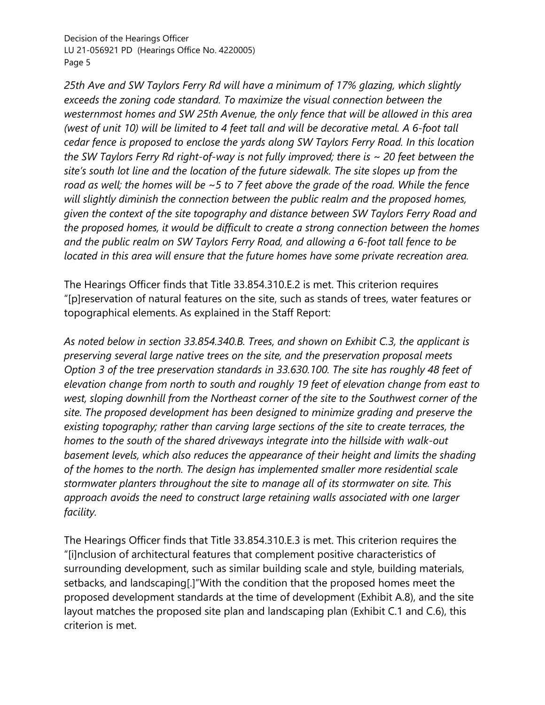*25th Ave and SW Taylors Ferry Rd will have a minimum of 17% glazing, which slightly exceeds the zoning code standard. To maximize the visual connection between the westernmost homes and SW 25th Avenue, the only fence that will be allowed in this area (west of unit 10) will be limited to 4 feet tall and will be decorative metal. A 6-foot tall cedar fence is proposed to enclose the yards along SW Taylors Ferry Road. In this location the SW Taylors Ferry Rd right-of-way is not fully improved; there is ~ 20 feet between the site's south lot line and the location of the future sidewalk. The site slopes up from the road as well; the homes will be ~5 to 7 feet above the grade of the road. While the fence will slightly diminish the connection between the public realm and the proposed homes, given the context of the site topography and distance between SW Taylors Ferry Road and the proposed homes, it would be difficult to create a strong connection between the homes and the public realm on SW Taylors Ferry Road, and allowing a 6-foot tall fence to be located in this area will ensure that the future homes have some private recreation area.* 

The Hearings Officer finds that Title 33.854.310.E.2 is met. This criterion requires "[p]reservation of natural features on the site, such as stands of trees, water features or topographical elements. As explained in the Staff Report:

*As noted below in section 33.854.340.B. Trees, and shown on Exhibit C.3, the applicant is preserving several large native trees on the site, and the preservation proposal meets Option 3 of the tree preservation standards in 33.630.100. The site has roughly 48 feet of elevation change from north to south and roughly 19 feet of elevation change from east to west, sloping downhill from the Northeast corner of the site to the Southwest corner of the site. The proposed development has been designed to minimize grading and preserve the existing topography; rather than carving large sections of the site to create terraces, the homes to the south of the shared driveways integrate into the hillside with walk-out basement levels, which also reduces the appearance of their height and limits the shading of the homes to the north. The design has implemented smaller more residential scale stormwater planters throughout the site to manage all of its stormwater on site. This approach avoids the need to construct large retaining walls associated with one larger facility.* 

The Hearings Officer finds that Title 33.854.310.E.3 is met. This criterion requires the "[i]nclusion of architectural features that complement positive characteristics of surrounding development, such as similar building scale and style, building materials, setbacks, and landscaping[.]"With the condition that the proposed homes meet the proposed development standards at the time of development (Exhibit A.8), and the site layout matches the proposed site plan and landscaping plan (Exhibit C.1 and C.6), this criterion is met.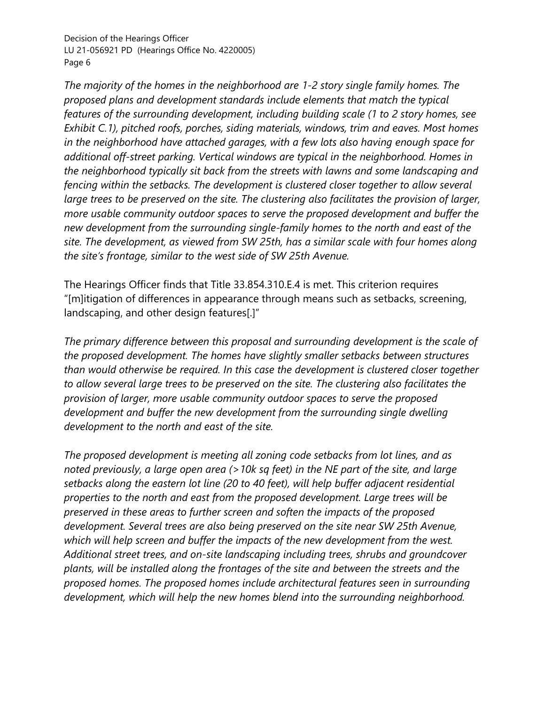*The majority of the homes in the neighborhood are 1-2 story single family homes. The proposed plans and development standards include elements that match the typical features of the surrounding development, including building scale (1 to 2 story homes, see Exhibit C.1), pitched roofs, porches, siding materials, windows, trim and eaves. Most homes in the neighborhood have attached garages, with a few lots also having enough space for additional off-street parking. Vertical windows are typical in the neighborhood. Homes in the neighborhood typically sit back from the streets with lawns and some landscaping and fencing within the setbacks. The development is clustered closer together to allow several large trees to be preserved on the site. The clustering also facilitates the provision of larger, more usable community outdoor spaces to serve the proposed development and buffer the new development from the surrounding single-family homes to the north and east of the site. The development, as viewed from SW 25th, has a similar scale with four homes along the site's frontage, similar to the west side of SW 25th Avenue.* 

The Hearings Officer finds that Title 33.854.310.E.4 is met. This criterion requires "[m]itigation of differences in appearance through means such as setbacks, screening, landscaping, and other design features[.]"

*The primary difference between this proposal and surrounding development is the scale of the proposed development. The homes have slightly smaller setbacks between structures than would otherwise be required. In this case the development is clustered closer together to allow several large trees to be preserved on the site. The clustering also facilitates the provision of larger, more usable community outdoor spaces to serve the proposed development and buffer the new development from the surrounding single dwelling development to the north and east of the site.* 

*The proposed development is meeting all zoning code setbacks from lot lines, and as noted previously, a large open area (>10k sq feet) in the NE part of the site, and large setbacks along the eastern lot line (20 to 40 feet), will help buffer adjacent residential properties to the north and east from the proposed development. Large trees will be preserved in these areas to further screen and soften the impacts of the proposed development. Several trees are also being preserved on the site near SW 25th Avenue, which will help screen and buffer the impacts of the new development from the west. Additional street trees, and on-site landscaping including trees, shrubs and groundcover plants, will be installed along the frontages of the site and between the streets and the proposed homes. The proposed homes include architectural features seen in surrounding development, which will help the new homes blend into the surrounding neighborhood.*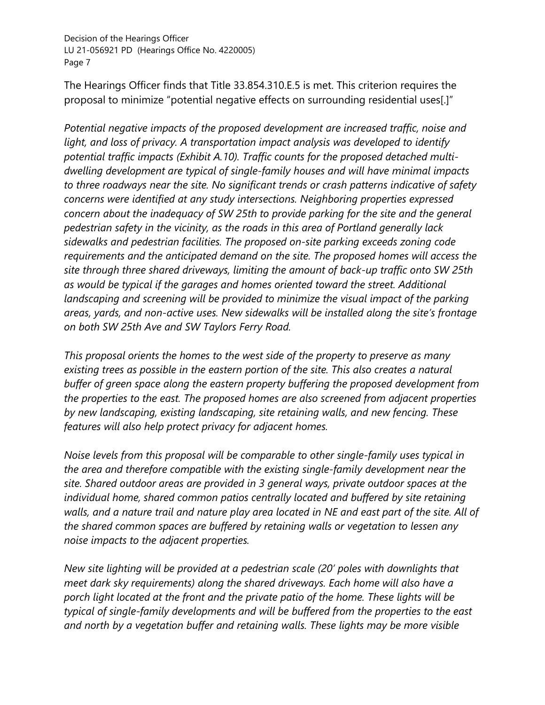The Hearings Officer finds that Title 33.854.310.E.5 is met. This criterion requires the proposal to minimize "potential negative effects on surrounding residential uses[.]"

*Potential negative impacts of the proposed development are increased traffic, noise and light, and loss of privacy. A transportation impact analysis was developed to identify potential traffic impacts (Exhibit A.10). Traffic counts for the proposed detached multidwelling development are typical of single-family houses and will have minimal impacts to three roadways near the site. No significant trends or crash patterns indicative of safety concerns were identified at any study intersections. Neighboring properties expressed concern about the inadequacy of SW 25th to provide parking for the site and the general pedestrian safety in the vicinity, as the roads in this area of Portland generally lack sidewalks and pedestrian facilities. The proposed on-site parking exceeds zoning code requirements and the anticipated demand on the site. The proposed homes will access the site through three shared driveways, limiting the amount of back-up traffic onto SW 25th as would be typical if the garages and homes oriented toward the street. Additional*  landscaping and screening will be provided to minimize the visual impact of the parking *areas, yards, and non-active uses. New sidewalks will be installed along the site's frontage on both SW 25th Ave and SW Taylors Ferry Road.*

*This proposal orients the homes to the west side of the property to preserve as many existing trees as possible in the eastern portion of the site. This also creates a natural buffer of green space along the eastern property buffering the proposed development from the properties to the east. The proposed homes are also screened from adjacent properties by new landscaping, existing landscaping, site retaining walls, and new fencing. These features will also help protect privacy for adjacent homes.* 

*Noise levels from this proposal will be comparable to other single-family uses typical in the area and therefore compatible with the existing single-family development near the site. Shared outdoor areas are provided in 3 general ways, private outdoor spaces at the individual home, shared common patios centrally located and buffered by site retaining walls, and a nature trail and nature play area located in NE and east part of the site. All of the shared common spaces are buffered by retaining walls or vegetation to lessen any noise impacts to the adjacent properties.*

*New site lighting will be provided at a pedestrian scale (20' poles with downlights that meet dark sky requirements) along the shared driveways. Each home will also have a porch light located at the front and the private patio of the home. These lights will be typical of single-family developments and will be buffered from the properties to the east and north by a vegetation buffer and retaining walls. These lights may be more visible*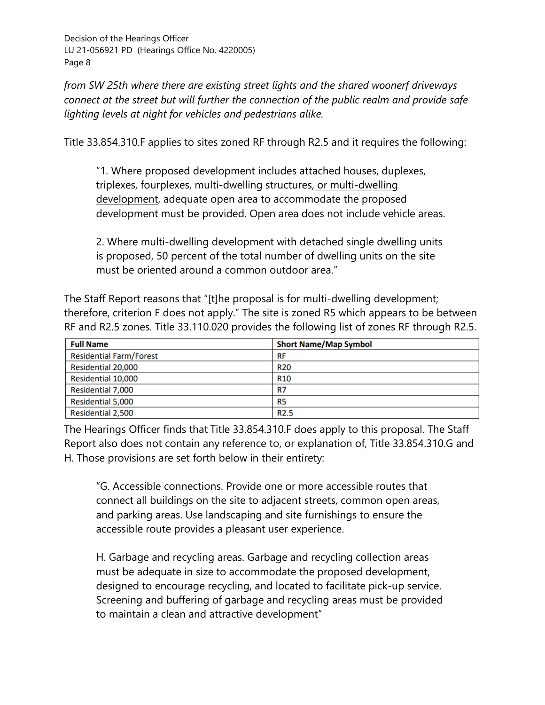*from SW 25th where there are existing street lights and the shared woonerf driveways connect at the street but will further the connection of the public realm and provide safe lighting levels at night for vehicles and pedestrians alike.*

Title 33.854.310.F applies to sites zoned RF through R2.5 and it requires the following:

"1. Where proposed development includes attached houses, duplexes, triplexes, fourplexes, multi-dwelling structures, or multi-dwelling development, adequate open area to accommodate the proposed development must be provided. Open area does not include vehicle areas.

2. Where multi-dwelling development with detached single dwelling units is proposed, 50 percent of the total number of dwelling units on the site must be oriented around a common outdoor area."

The Staff Report reasons that "[t]he proposal is for multi-dwelling development; therefore, criterion F does not apply." The site is zoned R5 which appears to be between RF and R2.5 zones. Title 33.110.020 provides the following list of zones RF through R2.5.

| <b>Full Name</b>               | <b>Short Name/Map Symbol</b> |
|--------------------------------|------------------------------|
| <b>Residential Farm/Forest</b> | <b>RF</b>                    |
| Residential 20,000             | <b>R20</b>                   |
| Residential 10,000             | <b>R10</b>                   |
| Residential 7,000              | R7                           |
| <b>Residential 5,000</b>       | R <sub>5</sub>               |
| <b>Residential 2,500</b>       | <b>R2.5</b>                  |

The Hearings Officer finds that Title 33.854.310.F does apply to this proposal. The Staff Report also does not contain any reference to, or explanation of, Title 33.854.310.G and H. Those provisions are set forth below in their entirety:

"G. Accessible connections. Provide one or more accessible routes that connect all buildings on the site to adjacent streets, common open areas, and parking areas. Use landscaping and site furnishings to ensure the accessible route provides a pleasant user experience.

H. Garbage and recycling areas. Garbage and recycling collection areas must be adequate in size to accommodate the proposed development, designed to encourage recycling, and located to facilitate pick-up service. Screening and buffering of garbage and recycling areas must be provided to maintain a clean and attractive development"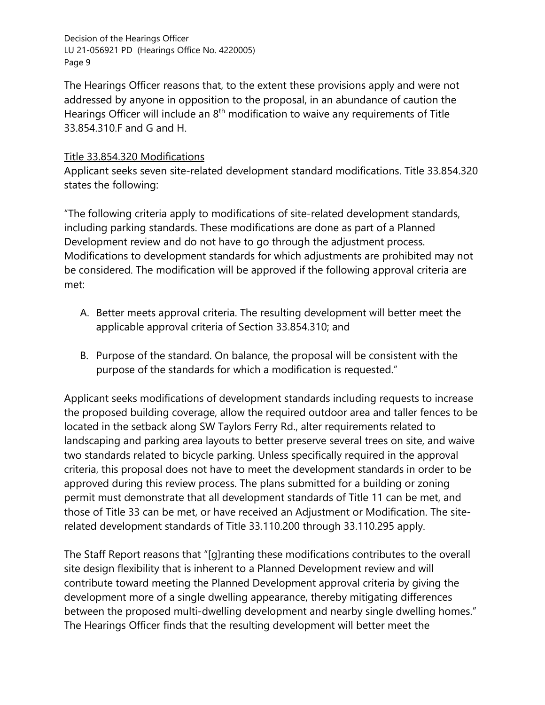The Hearings Officer reasons that, to the extent these provisions apply and were not addressed by anyone in opposition to the proposal, in an abundance of caution the Hearings Officer will include an 8<sup>th</sup> modification to waive any requirements of Title 33.854.310.F and G and H.

## Title 33.854.320 Modifications

Applicant seeks seven site-related development standard modifications. Title 33.854.320 states the following:

"The following criteria apply to modifications of site-related development standards, including parking standards. These modifications are done as part of a Planned Development review and do not have to go through the adjustment process. Modifications to development standards for which adjustments are prohibited may not be considered. The modification will be approved if the following approval criteria are met:

- A. Better meets approval criteria. The resulting development will better meet the applicable approval criteria of Section 33.854.310; and
- B. Purpose of the standard. On balance, the proposal will be consistent with the purpose of the standards for which a modification is requested."

Applicant seeks modifications of development standards including requests to increase the proposed building coverage, allow the required outdoor area and taller fences to be located in the setback along SW Taylors Ferry Rd., alter requirements related to landscaping and parking area layouts to better preserve several trees on site, and waive two standards related to bicycle parking. Unless specifically required in the approval criteria, this proposal does not have to meet the development standards in order to be approved during this review process. The plans submitted for a building or zoning permit must demonstrate that all development standards of Title 11 can be met, and those of Title 33 can be met, or have received an Adjustment or Modification. The siterelated development standards of Title 33.110.200 through 33.110.295 apply.

The Staff Report reasons that "[g]ranting these modifications contributes to the overall site design flexibility that is inherent to a Planned Development review and will contribute toward meeting the Planned Development approval criteria by giving the development more of a single dwelling appearance, thereby mitigating differences between the proposed multi-dwelling development and nearby single dwelling homes." The Hearings Officer finds that the resulting development will better meet the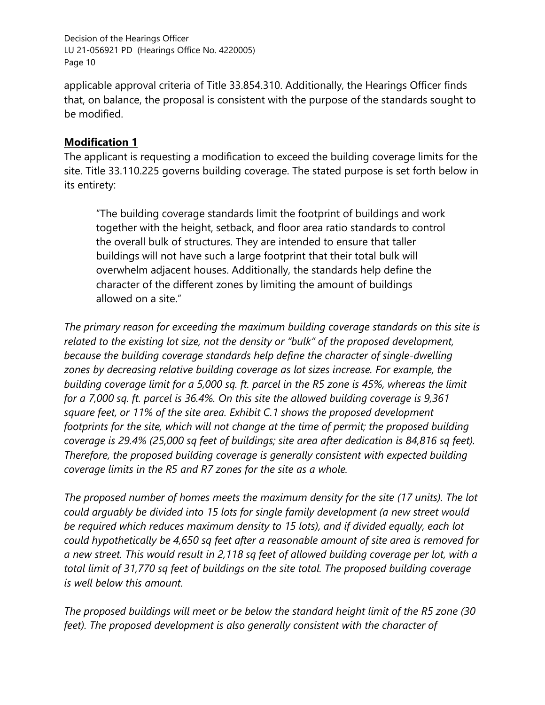applicable approval criteria of Title 33.854.310. Additionally, the Hearings Officer finds that, on balance, the proposal is consistent with the purpose of the standards sought to be modified.

## **Modification 1**

The applicant is requesting a modification to exceed the building coverage limits for the site. Title 33.110.225 governs building coverage. The stated purpose is set forth below in its entirety:

"The building coverage standards limit the footprint of buildings and work together with the height, setback, and floor area ratio standards to control the overall bulk of structures. They are intended to ensure that taller buildings will not have such a large footprint that their total bulk will overwhelm adjacent houses. Additionally, the standards help define the character of the different zones by limiting the amount of buildings allowed on a site."

*The primary reason for exceeding the maximum building coverage standards on this site is related to the existing lot size, not the density or "bulk" of the proposed development, because the building coverage standards help define the character of single-dwelling zones by decreasing relative building coverage as lot sizes increase. For example, the building coverage limit for a 5,000 sq. ft. parcel in the R5 zone is 45%, whereas the limit for a 7,000 sq. ft. parcel is 36.4%. On this site the allowed building coverage is 9,361 square feet, or 11% of the site area. Exhibit C.1 shows the proposed development footprints for the site, which will not change at the time of permit; the proposed building coverage is 29.4% (25,000 sq feet of buildings; site area after dedication is 84,816 sq feet). Therefore, the proposed building coverage is generally consistent with expected building coverage limits in the R5 and R7 zones for the site as a whole.* 

*The proposed number of homes meets the maximum density for the site (17 units). The lot could arguably be divided into 15 lots for single family development (a new street would be required which reduces maximum density to 15 lots), and if divided equally, each lot could hypothetically be 4,650 sq feet after a reasonable amount of site area is removed for a new street. This would result in 2,118 sq feet of allowed building coverage per lot, with a total limit of 31,770 sq feet of buildings on the site total. The proposed building coverage is well below this amount.* 

*The proposed buildings will meet or be below the standard height limit of the R5 zone (30*  feet). The proposed development is also generally consistent with the character of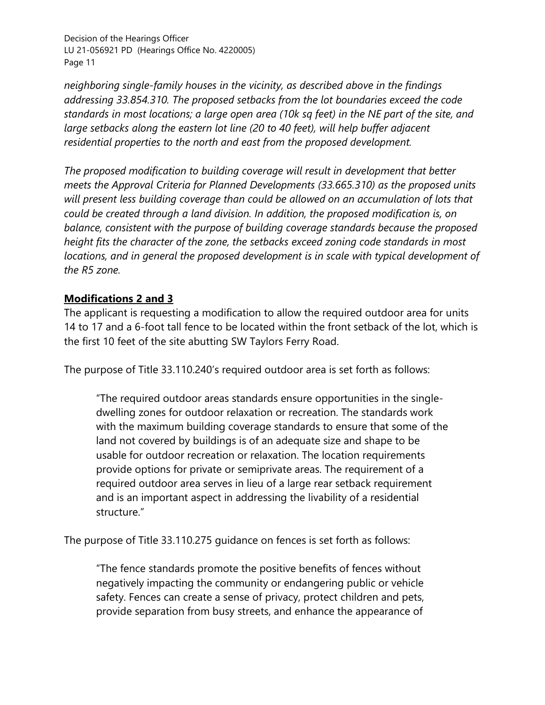*neighboring single-family houses in the vicinity, as described above in the findings addressing 33.854.310. The proposed setbacks from the lot boundaries exceed the code standards in most locations; a large open area (10k sq feet) in the NE part of the site, and large setbacks along the eastern lot line (20 to 40 feet), will help buffer adjacent residential properties to the north and east from the proposed development.* 

*The proposed modification to building coverage will result in development that better meets the Approval Criteria for Planned Developments (33.665.310) as the proposed units will present less building coverage than could be allowed on an accumulation of lots that could be created through a land division. In addition, the proposed modification is, on balance, consistent with the purpose of building coverage standards because the proposed height fits the character of the zone, the setbacks exceed zoning code standards in most locations, and in general the proposed development is in scale with typical development of the R5 zone.*

## **Modifications 2 and 3**

The applicant is requesting a modification to allow the required outdoor area for units 14 to 17 and a 6-foot tall fence to be located within the front setback of the lot, which is the first 10 feet of the site abutting SW Taylors Ferry Road.

The purpose of Title 33.110.240's required outdoor area is set forth as follows:

"The required outdoor areas standards ensure opportunities in the singledwelling zones for outdoor relaxation or recreation. The standards work with the maximum building coverage standards to ensure that some of the land not covered by buildings is of an adequate size and shape to be usable for outdoor recreation or relaxation. The location requirements provide options for private or semiprivate areas. The requirement of a required outdoor area serves in lieu of a large rear setback requirement and is an important aspect in addressing the livability of a residential structure."

The purpose of Title 33.110.275 guidance on fences is set forth as follows:

"The fence standards promote the positive benefits of fences without negatively impacting the community or endangering public or vehicle safety. Fences can create a sense of privacy, protect children and pets, provide separation from busy streets, and enhance the appearance of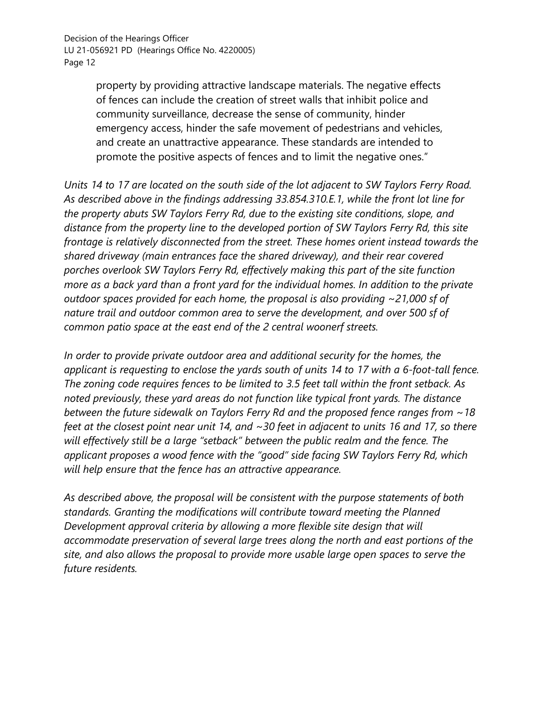property by providing attractive landscape materials. The negative effects of fences can include the creation of street walls that inhibit police and community surveillance, decrease the sense of community, hinder emergency access, hinder the safe movement of pedestrians and vehicles, and create an unattractive appearance. These standards are intended to promote the positive aspects of fences and to limit the negative ones."

*Units 14 to 17 are located on the south side of the lot adjacent to SW Taylors Ferry Road. As described above in the findings addressing 33.854.310.E.1, while the front lot line for the property abuts SW Taylors Ferry Rd, due to the existing site conditions, slope, and distance from the property line to the developed portion of SW Taylors Ferry Rd, this site frontage is relatively disconnected from the street. These homes orient instead towards the shared driveway (main entrances face the shared driveway), and their rear covered porches overlook SW Taylors Ferry Rd, effectively making this part of the site function more as a back yard than a front yard for the individual homes. In addition to the private outdoor spaces provided for each home, the proposal is also providing ~21,000 sf of nature trail and outdoor common area to serve the development, and over 500 sf of common patio space at the east end of the 2 central woonerf streets.*

*In order to provide private outdoor area and additional security for the homes, the applicant is requesting to enclose the yards south of units 14 to 17 with a 6-foot-tall fence. The zoning code requires fences to be limited to 3.5 feet tall within the front setback. As noted previously, these yard areas do not function like typical front yards. The distance between the future sidewalk on Taylors Ferry Rd and the proposed fence ranges from ~18 feet at the closest point near unit 14, and ~30 feet in adjacent to units 16 and 17, so there will effectively still be a large "setback" between the public realm and the fence. The applicant proposes a wood fence with the "good" side facing SW Taylors Ferry Rd, which will help ensure that the fence has an attractive appearance.* 

*As described above, the proposal will be consistent with the purpose statements of both standards. Granting the modifications will contribute toward meeting the Planned Development approval criteria by allowing a more flexible site design that will accommodate preservation of several large trees along the north and east portions of the site, and also allows the proposal to provide more usable large open spaces to serve the future residents.*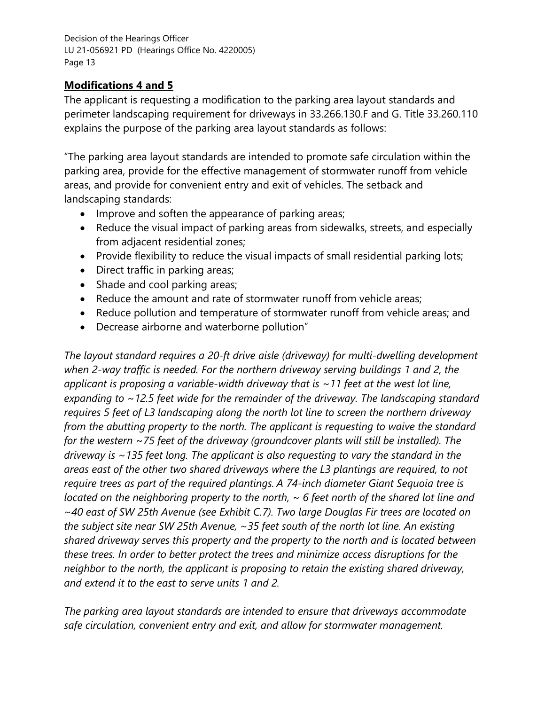## **Modifications 4 and 5**

The applicant is requesting a modification to the parking area layout standards and perimeter landscaping requirement for driveways in 33.266.130.F and G. Title 33.260.110 explains the purpose of the parking area layout standards as follows:

"The parking area layout standards are intended to promote safe circulation within the parking area, provide for the effective management of stormwater runoff from vehicle areas, and provide for convenient entry and exit of vehicles. The setback and landscaping standards:

- Improve and soften the appearance of parking areas;
- Reduce the visual impact of parking areas from sidewalks, streets, and especially from adjacent residential zones;
- Provide flexibility to reduce the visual impacts of small residential parking lots;
- Direct traffic in parking areas;
- Shade and cool parking areas;
- Reduce the amount and rate of stormwater runoff from vehicle areas;
- Reduce pollution and temperature of stormwater runoff from vehicle areas; and
- Decrease airborne and waterborne pollution"

*The layout standard requires a 20-ft drive aisle (driveway) for multi-dwelling development when 2-way traffic is needed. For the northern driveway serving buildings 1 and 2, the applicant is proposing a variable-width driveway that is ~11 feet at the west lot line, expanding to ~12.5 feet wide for the remainder of the driveway. The landscaping standard requires 5 feet of L3 landscaping along the north lot line to screen the northern driveway from the abutting property to the north. The applicant is requesting to waive the standard for the western ~75 feet of the driveway (groundcover plants will still be installed). The driveway is ~135 feet long. The applicant is also requesting to vary the standard in the areas east of the other two shared driveways where the L3 plantings are required, to not require trees as part of the required plantings. A 74-inch diameter Giant Sequoia tree is located on the neighboring property to the north, ~ 6 feet north of the shared lot line and ~40 east of SW 25th Avenue (see Exhibit C.7). Two large Douglas Fir trees are located on the subject site near SW 25th Avenue, ~35 feet south of the north lot line. An existing shared driveway serves this property and the property to the north and is located between these trees. In order to better protect the trees and minimize access disruptions for the neighbor to the north, the applicant is proposing to retain the existing shared driveway, and extend it to the east to serve units 1 and 2.* 

*The parking area layout standards are intended to ensure that driveways accommodate safe circulation, convenient entry and exit, and allow for stormwater management.*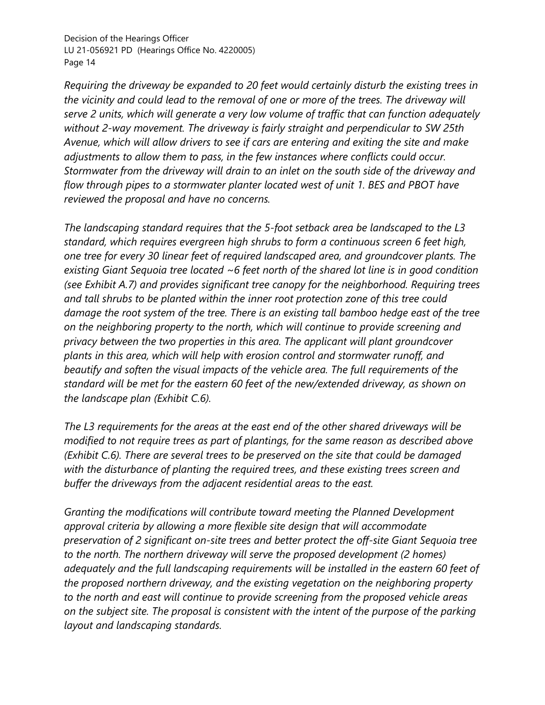*Requiring the driveway be expanded to 20 feet would certainly disturb the existing trees in the vicinity and could lead to the removal of one or more of the trees. The driveway will serve 2 units, which will generate a very low volume of traffic that can function adequately without 2-way movement. The driveway is fairly straight and perpendicular to SW 25th Avenue, which will allow drivers to see if cars are entering and exiting the site and make adjustments to allow them to pass, in the few instances where conflicts could occur. Stormwater from the driveway will drain to an inlet on the south side of the driveway and flow through pipes to a stormwater planter located west of unit 1. BES and PBOT have reviewed the proposal and have no concerns.* 

*The landscaping standard requires that the 5-foot setback area be landscaped to the L3 standard, which requires evergreen high shrubs to form a continuous screen 6 feet high, one tree for every 30 linear feet of required landscaped area, and groundcover plants. The existing Giant Sequoia tree located ~6 feet north of the shared lot line is in good condition (see Exhibit A.7) and provides significant tree canopy for the neighborhood. Requiring trees and tall shrubs to be planted within the inner root protection zone of this tree could damage the root system of the tree. There is an existing tall bamboo hedge east of the tree on the neighboring property to the north, which will continue to provide screening and privacy between the two properties in this area. The applicant will plant groundcover plants in this area, which will help with erosion control and stormwater runoff, and beautify and soften the visual impacts of the vehicle area. The full requirements of the standard will be met for the eastern 60 feet of the new/extended driveway, as shown on the landscape plan (Exhibit C.6).* 

*The L3 requirements for the areas at the east end of the other shared driveways will be modified to not require trees as part of plantings, for the same reason as described above (Exhibit C.6). There are several trees to be preserved on the site that could be damaged with the disturbance of planting the required trees, and these existing trees screen and buffer the driveways from the adjacent residential areas to the east.* 

*Granting the modifications will contribute toward meeting the Planned Development approval criteria by allowing a more flexible site design that will accommodate preservation of 2 significant on-site trees and better protect the off-site Giant Sequoia tree to the north. The northern driveway will serve the proposed development (2 homes) adequately and the full landscaping requirements will be installed in the eastern 60 feet of the proposed northern driveway, and the existing vegetation on the neighboring property to the north and east will continue to provide screening from the proposed vehicle areas on the subject site. The proposal is consistent with the intent of the purpose of the parking layout and landscaping standards.*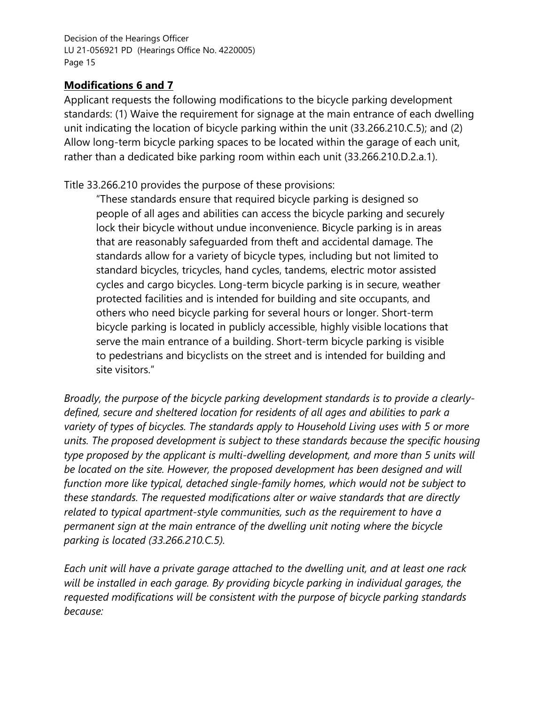## **Modifications 6 and 7**

Applicant requests the following modifications to the bicycle parking development standards: (1) Waive the requirement for signage at the main entrance of each dwelling unit indicating the location of bicycle parking within the unit (33.266.210.C.5); and (2) Allow long-term bicycle parking spaces to be located within the garage of each unit, rather than a dedicated bike parking room within each unit (33.266.210.D.2.a.1).

Title 33.266.210 provides the purpose of these provisions:

"These standards ensure that required bicycle parking is designed so people of all ages and abilities can access the bicycle parking and securely lock their bicycle without undue inconvenience. Bicycle parking is in areas that are reasonably safeguarded from theft and accidental damage. The standards allow for a variety of bicycle types, including but not limited to standard bicycles, tricycles, hand cycles, tandems, electric motor assisted cycles and cargo bicycles. Long-term bicycle parking is in secure, weather protected facilities and is intended for building and site occupants, and others who need bicycle parking for several hours or longer. Short-term bicycle parking is located in publicly accessible, highly visible locations that serve the main entrance of a building. Short-term bicycle parking is visible to pedestrians and bicyclists on the street and is intended for building and site visitors."

*Broadly, the purpose of the bicycle parking development standards is to provide a clearlydefined, secure and sheltered location for residents of all ages and abilities to park a variety of types of bicycles. The standards apply to Household Living uses with 5 or more units. The proposed development is subject to these standards because the specific housing type proposed by the applicant is multi-dwelling development, and more than 5 units will be located on the site. However, the proposed development has been designed and will function more like typical, detached single-family homes, which would not be subject to these standards. The requested modifications alter or waive standards that are directly related to typical apartment-style communities, such as the requirement to have a permanent sign at the main entrance of the dwelling unit noting where the bicycle parking is located (33.266.210.C.5).*

*Each unit will have a private garage attached to the dwelling unit, and at least one rack will be installed in each garage. By providing bicycle parking in individual garages, the requested modifications will be consistent with the purpose of bicycle parking standards because:*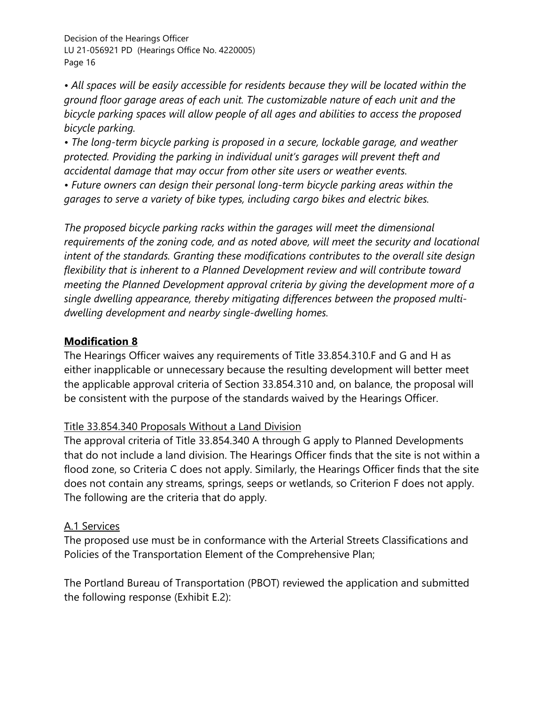*• All spaces will be easily accessible for residents because they will be located within the ground floor garage areas of each unit. The customizable nature of each unit and the bicycle parking spaces will allow people of all ages and abilities to access the proposed bicycle parking.* 

*• The long-term bicycle parking is proposed in a secure, lockable garage, and weather protected. Providing the parking in individual unit's garages will prevent theft and accidental damage that may occur from other site users or weather events.* 

*• Future owners can design their personal long-term bicycle parking areas within the garages to serve a variety of bike types, including cargo bikes and electric bikes.* 

*The proposed bicycle parking racks within the garages will meet the dimensional requirements of the zoning code, and as noted above, will meet the security and locational intent of the standards. Granting these modifications contributes to the overall site design flexibility that is inherent to a Planned Development review and will contribute toward meeting the Planned Development approval criteria by giving the development more of a single dwelling appearance, thereby mitigating differences between the proposed multidwelling development and nearby single-dwelling homes.* 

## **Modification 8**

The Hearings Officer waives any requirements of Title 33.854.310.F and G and H as either inapplicable or unnecessary because the resulting development will better meet the applicable approval criteria of Section 33.854.310 and, on balance, the proposal will be consistent with the purpose of the standards waived by the Hearings Officer.

## Title 33.854.340 Proposals Without a Land Division

The approval criteria of Title 33.854.340 A through G apply to Planned Developments that do not include a land division. The Hearings Officer finds that the site is not within a flood zone, so Criteria C does not apply. Similarly, the Hearings Officer finds that the site does not contain any streams, springs, seeps or wetlands, so Criterion F does not apply. The following are the criteria that do apply.

## A.1 Services

The proposed use must be in conformance with the Arterial Streets Classifications and Policies of the Transportation Element of the Comprehensive Plan;

The Portland Bureau of Transportation (PBOT) reviewed the application and submitted the following response (Exhibit E.2):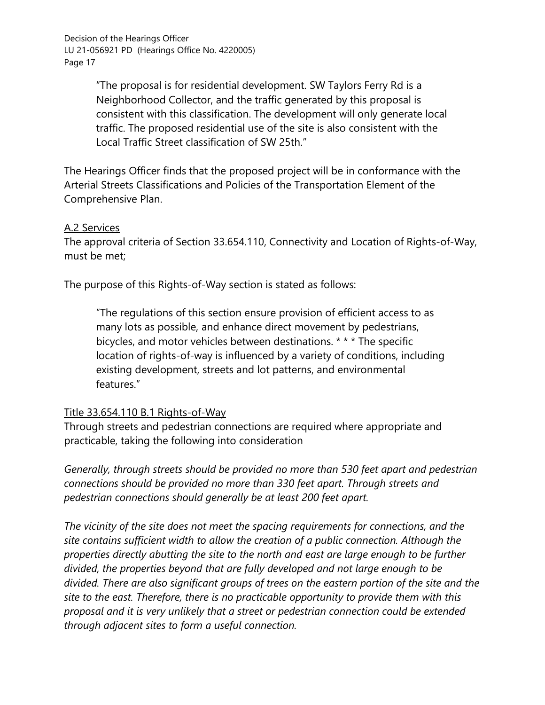> "The proposal is for residential development. SW Taylors Ferry Rd is a Neighborhood Collector, and the traffic generated by this proposal is consistent with this classification. The development will only generate local traffic. The proposed residential use of the site is also consistent with the Local Traffic Street classification of SW 25th."

The Hearings Officer finds that the proposed project will be in conformance with the Arterial Streets Classifications and Policies of the Transportation Element of the Comprehensive Plan.

#### A.2 Services

The approval criteria of Section 33.654.110, Connectivity and Location of Rights-of-Way, must be met;

The purpose of this Rights-of-Way section is stated as follows:

"The regulations of this section ensure provision of efficient access to as many lots as possible, and enhance direct movement by pedestrians, bicycles, and motor vehicles between destinations. \* \* \* The specific location of rights-of-way is influenced by a variety of conditions, including existing development, streets and lot patterns, and environmental features."

#### Title 33.654.110 B.1 Rights-of-Way

Through streets and pedestrian connections are required where appropriate and practicable, taking the following into consideration

*Generally, through streets should be provided no more than 530 feet apart and pedestrian connections should be provided no more than 330 feet apart. Through streets and pedestrian connections should generally be at least 200 feet apart.* 

*The vicinity of the site does not meet the spacing requirements for connections, and the site contains sufficient width to allow the creation of a public connection. Although the properties directly abutting the site to the north and east are large enough to be further divided, the properties beyond that are fully developed and not large enough to be divided. There are also significant groups of trees on the eastern portion of the site and the site to the east. Therefore, there is no practicable opportunity to provide them with this proposal and it is very unlikely that a street or pedestrian connection could be extended through adjacent sites to form a useful connection.*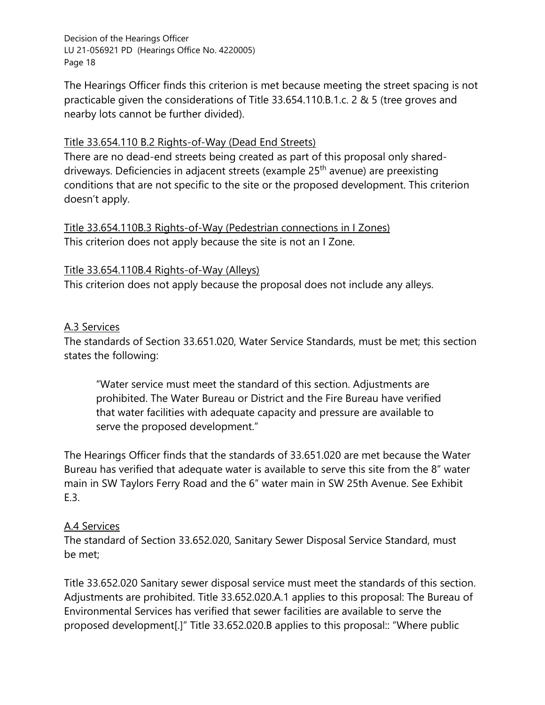The Hearings Officer finds this criterion is met because meeting the street spacing is not practicable given the considerations of Title 33.654.110.B.1.c. 2 & 5 (tree groves and nearby lots cannot be further divided).

## Title 33.654.110 B.2 Rights-of-Way (Dead End Streets)

There are no dead-end streets being created as part of this proposal only shareddriveways. Deficiencies in adjacent streets (example 25<sup>th</sup> avenue) are preexisting conditions that are not specific to the site or the proposed development. This criterion doesn't apply.

Title 33.654.110B.3 Rights-of-Way (Pedestrian connections in I Zones) This criterion does not apply because the site is not an I Zone.

### Title 33.654.110B.4 Rights-of-Way (Alleys)

This criterion does not apply because the proposal does not include any alleys.

### A.3 Services

The standards of Section 33.651.020, Water Service Standards, must be met; this section states the following:

"Water service must meet the standard of this section. Adjustments are prohibited. The Water Bureau or District and the Fire Bureau have verified that water facilities with adequate capacity and pressure are available to serve the proposed development."

The Hearings Officer finds that the standards of 33.651.020 are met because the Water Bureau has verified that adequate water is available to serve this site from the 8" water main in SW Taylors Ferry Road and the 6" water main in SW 25th Avenue. See Exhibit E.3.

## A.4 Services

The standard of Section 33.652.020, Sanitary Sewer Disposal Service Standard, must be met;

Title 33.652.020 Sanitary sewer disposal service must meet the standards of this section. Adjustments are prohibited. Title 33.652.020.A.1 applies to this proposal: The Bureau of Environmental Services has verified that sewer facilities are available to serve the proposed development[.]" Title 33.652.020.B applies to this proposal:: "Where public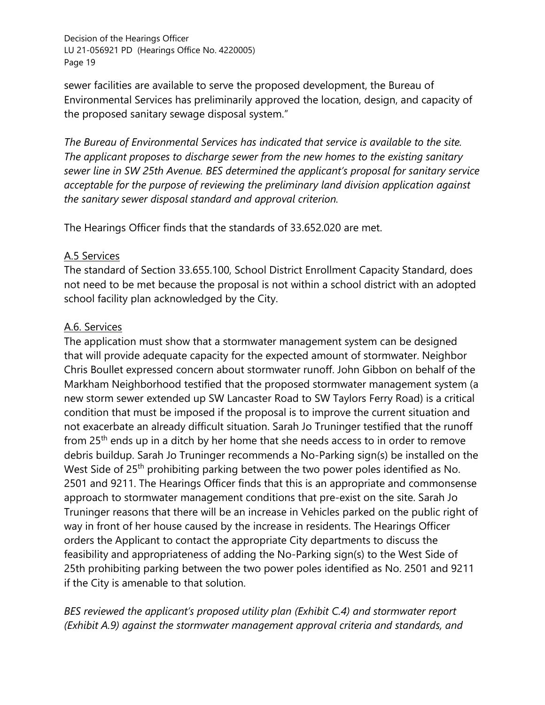sewer facilities are available to serve the proposed development, the Bureau of Environmental Services has preliminarily approved the location, design, and capacity of the proposed sanitary sewage disposal system."

*The Bureau of Environmental Services has indicated that service is available to the site. The applicant proposes to discharge sewer from the new homes to the existing sanitary sewer line in SW 25th Avenue. BES determined the applicant's proposal for sanitary service acceptable for the purpose of reviewing the preliminary land division application against the sanitary sewer disposal standard and approval criterion.* 

The Hearings Officer finds that the standards of 33.652.020 are met.

## A.5 Services

The standard of Section 33.655.100, School District Enrollment Capacity Standard, does not need to be met because the proposal is not within a school district with an adopted school facility plan acknowledged by the City.

## A.6. Services

The application must show that a stormwater management system can be designed that will provide adequate capacity for the expected amount of stormwater. Neighbor Chris Boullet expressed concern about stormwater runoff. John Gibbon on behalf of the Markham Neighborhood testified that the proposed stormwater management system (a new storm sewer extended up SW Lancaster Road to SW Taylors Ferry Road) is a critical condition that must be imposed if the proposal is to improve the current situation and not exacerbate an already difficult situation. Sarah Jo Truninger testified that the runoff from 25<sup>th</sup> ends up in a ditch by her home that she needs access to in order to remove debris buildup. Sarah Jo Truninger recommends a No-Parking sign(s) be installed on the West Side of 25<sup>th</sup> prohibiting parking between the two power poles identified as No. 2501 and 9211. The Hearings Officer finds that this is an appropriate and commonsense approach to stormwater management conditions that pre-exist on the site. Sarah Jo Truninger reasons that there will be an increase in Vehicles parked on the public right of way in front of her house caused by the increase in residents. The Hearings Officer orders the Applicant to contact the appropriate City departments to discuss the feasibility and appropriateness of adding the No-Parking sign(s) to the West Side of 25th prohibiting parking between the two power poles identified as No. 2501 and 9211 if the City is amenable to that solution.

*BES reviewed the applicant's proposed utility plan (Exhibit C.4) and stormwater report (Exhibit A.9) against the stormwater management approval criteria and standards, and*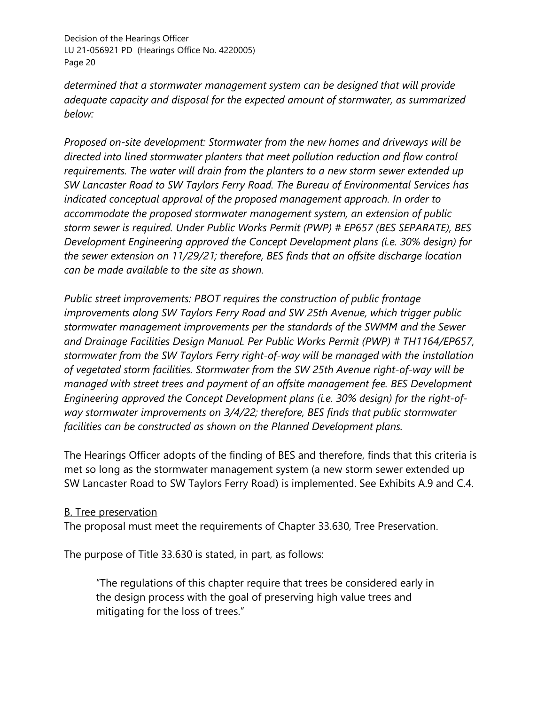*determined that a stormwater management system can be designed that will provide adequate capacity and disposal for the expected amount of stormwater, as summarized below:* 

*Proposed on-site development: Stormwater from the new homes and driveways will be directed into lined stormwater planters that meet pollution reduction and flow control requirements. The water will drain from the planters to a new storm sewer extended up SW Lancaster Road to SW Taylors Ferry Road. The Bureau of Environmental Services has indicated conceptual approval of the proposed management approach. In order to accommodate the proposed stormwater management system, an extension of public storm sewer is required. Under Public Works Permit (PWP) # EP657 (BES SEPARATE), BES Development Engineering approved the Concept Development plans (i.e. 30% design) for the sewer extension on 11/29/21; therefore, BES finds that an offsite discharge location can be made available to the site as shown.* 

*Public street improvements: PBOT requires the construction of public frontage improvements along SW Taylors Ferry Road and SW 25th Avenue, which trigger public stormwater management improvements per the standards of the SWMM and the Sewer and Drainage Facilities Design Manual. Per Public Works Permit (PWP) # TH1164/EP657, stormwater from the SW Taylors Ferry right-of-way will be managed with the installation of vegetated storm facilities. Stormwater from the SW 25th Avenue right-of-way will be managed with street trees and payment of an offsite management fee. BES Development Engineering approved the Concept Development plans (i.e. 30% design) for the right-ofway stormwater improvements on 3/4/22; therefore, BES finds that public stormwater facilities can be constructed as shown on the Planned Development plans.*

The Hearings Officer adopts of the finding of BES and therefore, finds that this criteria is met so long as the stormwater management system (a new storm sewer extended up SW Lancaster Road to SW Taylors Ferry Road) is implemented. See Exhibits A.9 and C.4.

#### B. Tree preservation

The proposal must meet the requirements of Chapter 33.630, Tree Preservation.

The purpose of Title 33.630 is stated, in part, as follows:

"The regulations of this chapter require that trees be considered early in the design process with the goal of preserving high value trees and mitigating for the loss of trees."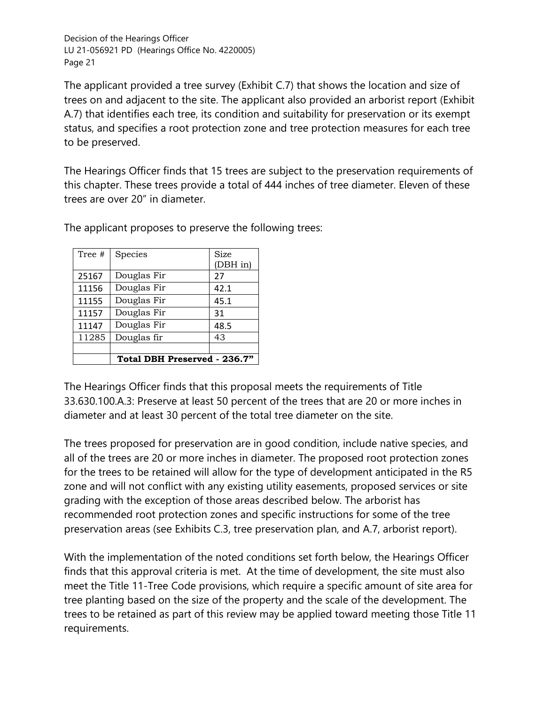The applicant provided a tree survey (Exhibit C.7) that shows the location and size of trees on and adjacent to the site. The applicant also provided an arborist report (Exhibit A.7) that identifies each tree, its condition and suitability for preservation or its exempt status, and specifies a root protection zone and tree protection measures for each tree to be preserved.

The Hearings Officer finds that 15 trees are subject to the preservation requirements of this chapter. These trees provide a total of 444 inches of tree diameter. Eleven of these trees are over 20" in diameter.

| Tree # | Species                      | Size<br>(DBH in) |
|--------|------------------------------|------------------|
| 25167  | Douglas Fir                  | 27               |
| 11156  | Douglas Fir                  | 42.1             |
| 11155  | Douglas Fir                  | 45.1             |
| 11157  | Douglas Fir                  | 31               |
| 11147  | Douglas Fir                  | 48.5             |
| 11285  | Douglas fir                  | 43               |
|        |                              |                  |
|        | Total DBH Preserved - 236.7" |                  |

The applicant proposes to preserve the following trees:

The Hearings Officer finds that this proposal meets the requirements of Title 33.630.100.A.3: Preserve at least 50 percent of the trees that are 20 or more inches in diameter and at least 30 percent of the total tree diameter on the site.

The trees proposed for preservation are in good condition, include native species, and all of the trees are 20 or more inches in diameter. The proposed root protection zones for the trees to be retained will allow for the type of development anticipated in the R5 zone and will not conflict with any existing utility easements, proposed services or site grading with the exception of those areas described below. The arborist has recommended root protection zones and specific instructions for some of the tree preservation areas (see Exhibits C.3, tree preservation plan, and A.7, arborist report).

With the implementation of the noted conditions set forth below, the Hearings Officer finds that this approval criteria is met. At the time of development, the site must also meet the Title 11-Tree Code provisions, which require a specific amount of site area for tree planting based on the size of the property and the scale of the development. The trees to be retained as part of this review may be applied toward meeting those Title 11 requirements.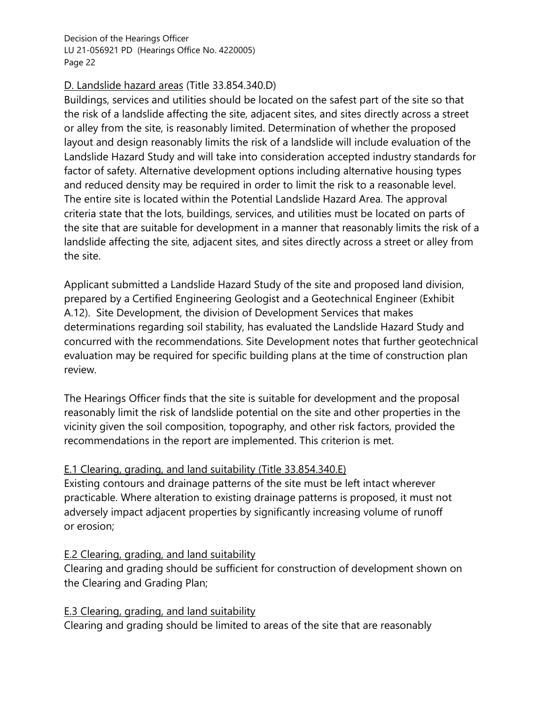## D. Landslide hazard areas (Title 33.854.340.D)

Buildings, services and utilities should be located on the safest part of the site so that the risk of a landslide affecting the site, adjacent sites, and sites directly across a street or alley from the site, is reasonably limited. Determination of whether the proposed layout and design reasonably limits the risk of a landslide will include evaluation of the Landslide Hazard Study and will take into consideration accepted industry standards for factor of safety. Alternative development options including alternative housing types and reduced density may be required in order to limit the risk to a reasonable level. The entire site is located within the Potential Landslide Hazard Area. The approval criteria state that the lots, buildings, services, and utilities must be located on parts of the site that are suitable for development in a manner that reasonably limits the risk of a landslide affecting the site, adjacent sites, and sites directly across a street or alley from the site.

Applicant submitted a Landslide Hazard Study of the site and proposed land division, prepared by a Certified Engineering Geologist and a Geotechnical Engineer (Exhibit A.12). Site Development, the division of Development Services that makes determinations regarding soil stability, has evaluated the Landslide Hazard Study and concurred with the recommendations. Site Development notes that further geotechnical evaluation may be required for specific building plans at the time of construction plan review.

The Hearings Officer finds that the site is suitable for development and the proposal reasonably limit the risk of landslide potential on the site and other properties in the vicinity given the soil composition, topography, and other risk factors, provided the recommendations in the report are implemented. This criterion is met.

## E.1 Clearing, grading, and land suitability (Title 33.854.340.E)

Existing contours and drainage patterns of the site must be left intact wherever practicable. Where alteration to existing drainage patterns is proposed, it must not adversely impact adjacent properties by significantly increasing volume of runoff or erosion;

## E.2 Clearing, grading, and land suitability

Clearing and grading should be sufficient for construction of development shown on the Clearing and Grading Plan;

## E.3 Clearing, grading, and land suitability

Clearing and grading should be limited to areas of the site that are reasonably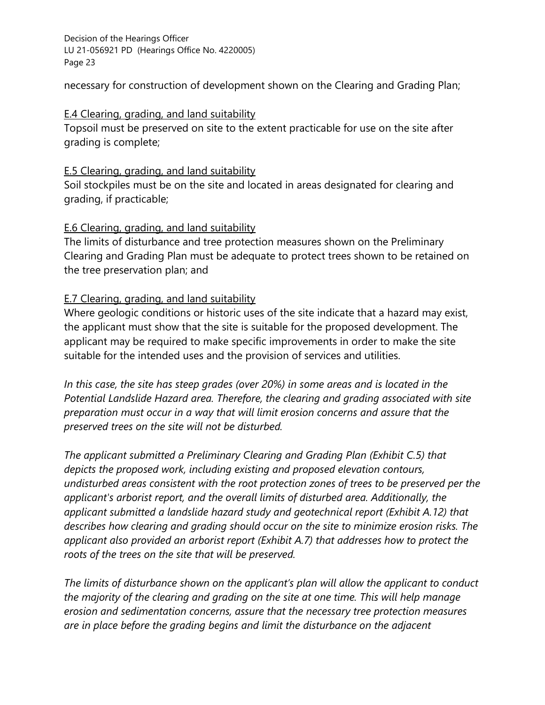necessary for construction of development shown on the Clearing and Grading Plan;

### E.4 Clearing, grading, and land suitability

Topsoil must be preserved on site to the extent practicable for use on the site after grading is complete;

### **E.5 Clearing, grading, and land suitability**

Soil stockpiles must be on the site and located in areas designated for clearing and grading, if practicable;

## E.6 Clearing, grading, and land suitability

The limits of disturbance and tree protection measures shown on the Preliminary Clearing and Grading Plan must be adequate to protect trees shown to be retained on the tree preservation plan; and

## E.7 Clearing, grading, and land suitability

Where geologic conditions or historic uses of the site indicate that a hazard may exist, the applicant must show that the site is suitable for the proposed development. The applicant may be required to make specific improvements in order to make the site suitable for the intended uses and the provision of services and utilities.

*In this case, the site has steep grades (over 20%) in some areas and is located in the Potential Landslide Hazard area. Therefore, the clearing and grading associated with site preparation must occur in a way that will limit erosion concerns and assure that the preserved trees on the site will not be disturbed.* 

*The applicant submitted a Preliminary Clearing and Grading Plan (Exhibit C.5) that depicts the proposed work, including existing and proposed elevation contours, undisturbed areas consistent with the root protection zones of trees to be preserved per the applicant's arborist report, and the overall limits of disturbed area. Additionally, the applicant submitted a landslide hazard study and geotechnical report (Exhibit A.12) that describes how clearing and grading should occur on the site to minimize erosion risks. The applicant also provided an arborist report (Exhibit A.7) that addresses how to protect the roots of the trees on the site that will be preserved.* 

*The limits of disturbance shown on the applicant's plan will allow the applicant to conduct the majority of the clearing and grading on the site at one time. This will help manage erosion and sedimentation concerns, assure that the necessary tree protection measures are in place before the grading begins and limit the disturbance on the adjacent*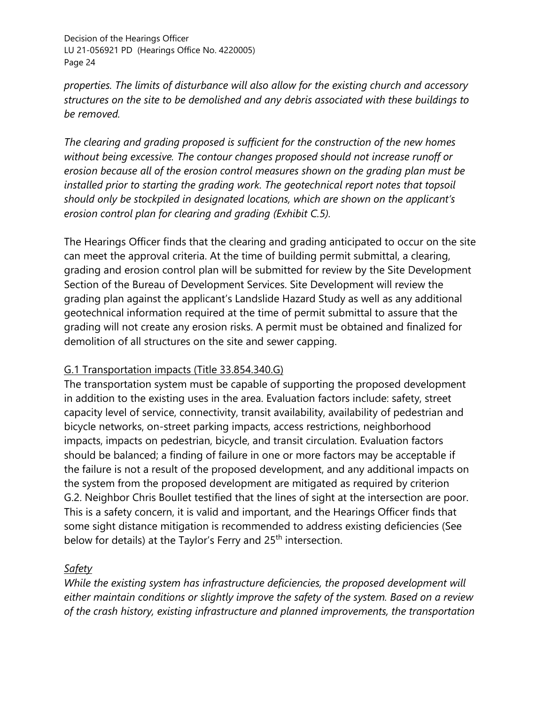*properties. The limits of disturbance will also allow for the existing church and accessory structures on the site to be demolished and any debris associated with these buildings to be removed.* 

*The clearing and grading proposed is sufficient for the construction of the new homes without being excessive. The contour changes proposed should not increase runoff or erosion because all of the erosion control measures shown on the grading plan must be installed prior to starting the grading work. The geotechnical report notes that topsoil should only be stockpiled in designated locations, which are shown on the applicant's erosion control plan for clearing and grading (Exhibit C.5).* 

The Hearings Officer finds that the clearing and grading anticipated to occur on the site can meet the approval criteria. At the time of building permit submittal, a clearing, grading and erosion control plan will be submitted for review by the Site Development Section of the Bureau of Development Services. Site Development will review the grading plan against the applicant's Landslide Hazard Study as well as any additional geotechnical information required at the time of permit submittal to assure that the grading will not create any erosion risks. A permit must be obtained and finalized for demolition of all structures on the site and sewer capping.

## G.1 Transportation impacts (Title 33.854.340.G)

The transportation system must be capable of supporting the proposed development in addition to the existing uses in the area. Evaluation factors include: safety, street capacity level of service, connectivity, transit availability, availability of pedestrian and bicycle networks, on-street parking impacts, access restrictions, neighborhood impacts, impacts on pedestrian, bicycle, and transit circulation. Evaluation factors should be balanced; a finding of failure in one or more factors may be acceptable if the failure is not a result of the proposed development, and any additional impacts on the system from the proposed development are mitigated as required by criterion G.2. Neighbor Chris Boullet testified that the lines of sight at the intersection are poor. This is a safety concern, it is valid and important, and the Hearings Officer finds that some sight distance mitigation is recommended to address existing deficiencies (See below for details) at the Taylor's Ferry and 25<sup>th</sup> intersection.

## *Safety*

*While the existing system has infrastructure deficiencies, the proposed development will either maintain conditions or slightly improve the safety of the system. Based on a review of the crash history, existing infrastructure and planned improvements, the transportation*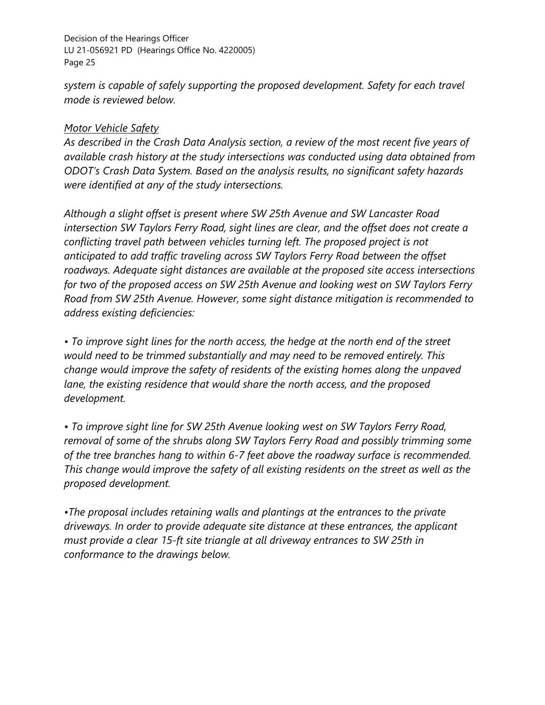*system is capable of safely supporting the proposed development. Safety for each travel mode is reviewed below.*

## *Motor Vehicle Safety*

*As described in the Crash Data Analysis section, a review of the most recent five years of available crash history at the study intersections was conducted using data obtained from ODOT's Crash Data System. Based on the analysis results, no significant safety hazards were identified at any of the study intersections.*

*Although a slight offset is present where SW 25th Avenue and SW Lancaster Road intersection SW Taylors Ferry Road, sight lines are clear, and the offset does not create a conflicting travel path between vehicles turning left. The proposed project is not anticipated to add traffic traveling across SW Taylors Ferry Road between the offset roadways. Adequate sight distances are available at the proposed site access intersections for two of the proposed access on SW 25th Avenue and looking west on SW Taylors Ferry Road from SW 25th Avenue. However, some sight distance mitigation is recommended to address existing deficiencies:*

*• To improve sight lines for the north access, the hedge at the north end of the street would need to be trimmed substantially and may need to be removed entirely. This change would improve the safety of residents of the existing homes along the unpaved lane, the existing residence that would share the north access, and the proposed development.* 

*• To improve sight line for SW 25th Avenue looking west on SW Taylors Ferry Road, removal of some of the shrubs along SW Taylors Ferry Road and possibly trimming some of the tree branches hang to within 6-7 feet above the roadway surface is recommended. This change would improve the safety of all existing residents on the street as well as the proposed development.* 

*•The proposal includes retaining walls and plantings at the entrances to the private driveways. In order to provide adequate site distance at these entrances, the applicant must provide a clear 15-ft site triangle at all driveway entrances to SW 25th in conformance to the drawings below.*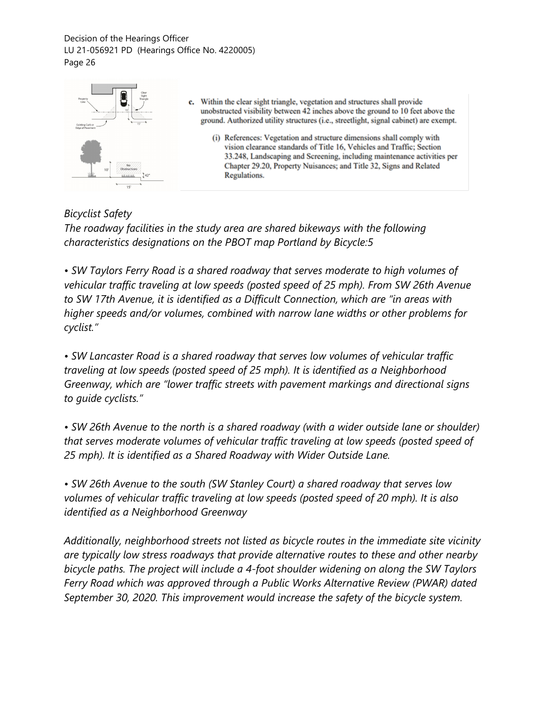| Clear<br>Sight<br>Triangle<br>Propert<br>Line<br>$+$ $15'$<br>Existing Curb or<br><b>Edge of Payemen</b> | Within the clear sight triangle, vegetation and structures shall provide<br>c.<br>unobstructed visibility between 42 inches above the ground to 10 feet above the<br>ground. Authorized utility structures (i.e., streetlight, signal cabinet) are exempt.                                                      |
|----------------------------------------------------------------------------------------------------------|-----------------------------------------------------------------------------------------------------------------------------------------------------------------------------------------------------------------------------------------------------------------------------------------------------------------|
| Obstructions<br>$42^\circ$<br>15'                                                                        | (i) References: Vegetation and structure dimensions shall comply with<br>vision clearance standards of Title 16, Vehicles and Traffic; Section<br>33.248, Landscaping and Screening, including maintenance activities per<br>Chapter 29.20, Property Nuisances; and Title 32, Signs and Related<br>Regulations. |

## *Bicyclist Safety The roadway facilities in the study area are shared bikeways with the following characteristics designations on the PBOT map Portland by Bicycle:5*

*• SW Taylors Ferry Road is a shared roadway that serves moderate to high volumes of vehicular traffic traveling at low speeds (posted speed of 25 mph). From SW 26th Avenue to SW 17th Avenue, it is identified as a Difficult Connection, which are "in areas with higher speeds and/or volumes, combined with narrow lane widths or other problems for cyclist."*

*• SW Lancaster Road is a shared roadway that serves low volumes of vehicular traffic traveling at low speeds (posted speed of 25 mph). It is identified as a Neighborhood Greenway, which are "lower traffic streets with pavement markings and directional signs to guide cyclists."*

*• SW 26th Avenue to the north is a shared roadway (with a wider outside lane or shoulder) that serves moderate volumes of vehicular traffic traveling at low speeds (posted speed of 25 mph). It is identified as a Shared Roadway with Wider Outside Lane.*

*• SW 26th Avenue to the south (SW Stanley Court) a shared roadway that serves low volumes of vehicular traffic traveling at low speeds (posted speed of 20 mph). It is also identified as a Neighborhood Greenway*

*Additionally, neighborhood streets not listed as bicycle routes in the immediate site vicinity are typically low stress roadways that provide alternative routes to these and other nearby bicycle paths. The project will include a 4-foot shoulder widening on along the SW Taylors Ferry Road which was approved through a Public Works Alternative Review (PWAR) dated September 30, 2020. This improvement would increase the safety of the bicycle system.*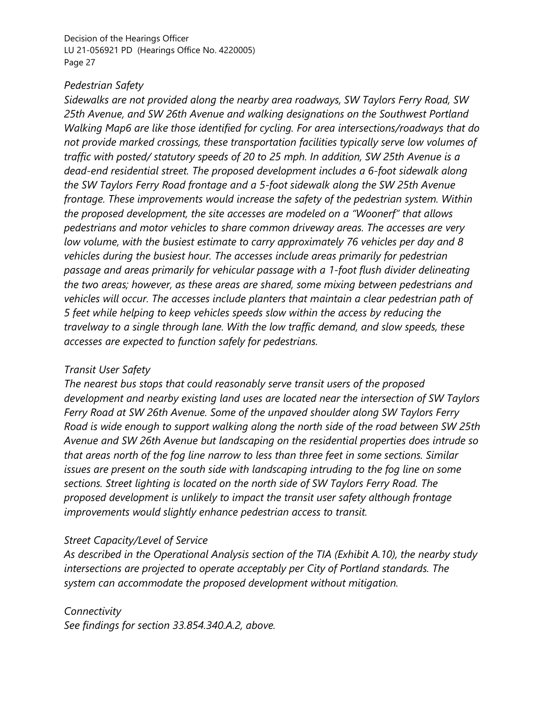#### *Pedestrian Safety*

*Sidewalks are not provided along the nearby area roadways, SW Taylors Ferry Road, SW 25th Avenue, and SW 26th Avenue and walking designations on the Southwest Portland Walking Map6 are like those identified for cycling. For area intersections/roadways that do not provide marked crossings, these transportation facilities typically serve low volumes of traffic with posted/ statutory speeds of 20 to 25 mph. In addition, SW 25th Avenue is a dead-end residential street. The proposed development includes a 6-foot sidewalk along the SW Taylors Ferry Road frontage and a 5-foot sidewalk along the SW 25th Avenue frontage. These improvements would increase the safety of the pedestrian system. Within the proposed development, the site accesses are modeled on a "Woonerf" that allows pedestrians and motor vehicles to share common driveway areas. The accesses are very low volume, with the busiest estimate to carry approximately 76 vehicles per day and 8 vehicles during the busiest hour. The accesses include areas primarily for pedestrian passage and areas primarily for vehicular passage with a 1-foot flush divider delineating the two areas; however, as these areas are shared, some mixing between pedestrians and vehicles will occur. The accesses include planters that maintain a clear pedestrian path of 5 feet while helping to keep vehicles speeds slow within the access by reducing the travelway to a single through lane. With the low traffic demand, and slow speeds, these accesses are expected to function safely for pedestrians.*

#### *Transit User Safety*

*The nearest bus stops that could reasonably serve transit users of the proposed development and nearby existing land uses are located near the intersection of SW Taylors Ferry Road at SW 26th Avenue. Some of the unpaved shoulder along SW Taylors Ferry Road is wide enough to support walking along the north side of the road between SW 25th Avenue and SW 26th Avenue but landscaping on the residential properties does intrude so that areas north of the fog line narrow to less than three feet in some sections. Similar issues are present on the south side with landscaping intruding to the fog line on some sections. Street lighting is located on the north side of SW Taylors Ferry Road. The proposed development is unlikely to impact the transit user safety although frontage improvements would slightly enhance pedestrian access to transit.*

#### *Street Capacity/Level of Service*

*As described in the Operational Analysis section of the TIA (Exhibit A.10), the nearby study intersections are projected to operate acceptably per City of Portland standards. The system can accommodate the proposed development without mitigation.*

*Connectivity See findings for section 33.854.340.A.2, above.*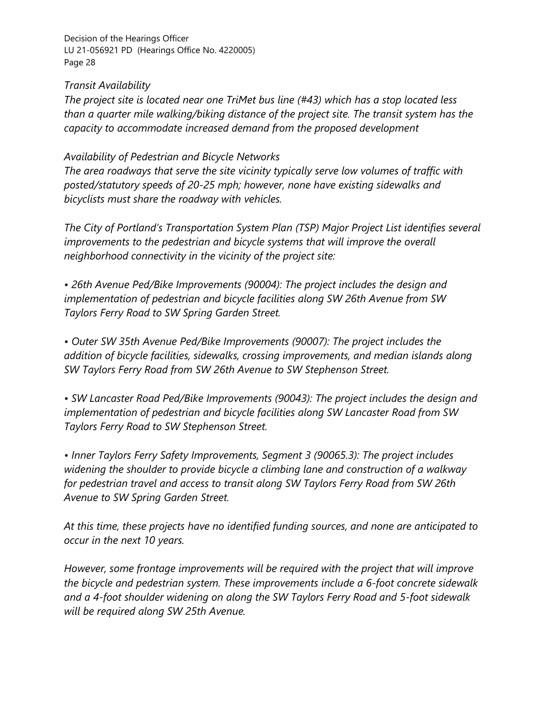*Transit Availability*

*The project site is located near one TriMet bus line (#43) which has a stop located less than a quarter mile walking/biking distance of the project site. The transit system has the capacity to accommodate increased demand from the proposed development*

#### *Availability of Pedestrian and Bicycle Networks*

*The area roadways that serve the site vicinity typically serve low volumes of traffic with posted/statutory speeds of 20-25 mph; however, none have existing sidewalks and bicyclists must share the roadway with vehicles.*

*The City of Portland's Transportation System Plan (TSP) Major Project List identifies several improvements to the pedestrian and bicycle systems that will improve the overall neighborhood connectivity in the vicinity of the project site:*

*• 26th Avenue Ped/Bike Improvements (90004): The project includes the design and implementation of pedestrian and bicycle facilities along SW 26th Avenue from SW Taylors Ferry Road to SW Spring Garden Street.*

*• Outer SW 35th Avenue Ped/Bike Improvements (90007): The project includes the addition of bicycle facilities, sidewalks, crossing improvements, and median islands along SW Taylors Ferry Road from SW 26th Avenue to SW Stephenson Street.*

*• SW Lancaster Road Ped/Bike Improvements (90043): The project includes the design and implementation of pedestrian and bicycle facilities along SW Lancaster Road from SW Taylors Ferry Road to SW Stephenson Street.*

*• Inner Taylors Ferry Safety Improvements, Segment 3 (90065.3): The project includes widening the shoulder to provide bicycle a climbing lane and construction of a walkway for pedestrian travel and access to transit along SW Taylors Ferry Road from SW 26th Avenue to SW Spring Garden Street.*

*At this time, these projects have no identified funding sources, and none are anticipated to occur in the next 10 years.*

*However, some frontage improvements will be required with the project that will improve the bicycle and pedestrian system. These improvements include a 6-foot concrete sidewalk and a 4-foot shoulder widening on along the SW Taylors Ferry Road and 5-foot sidewalk will be required along SW 25th Avenue.*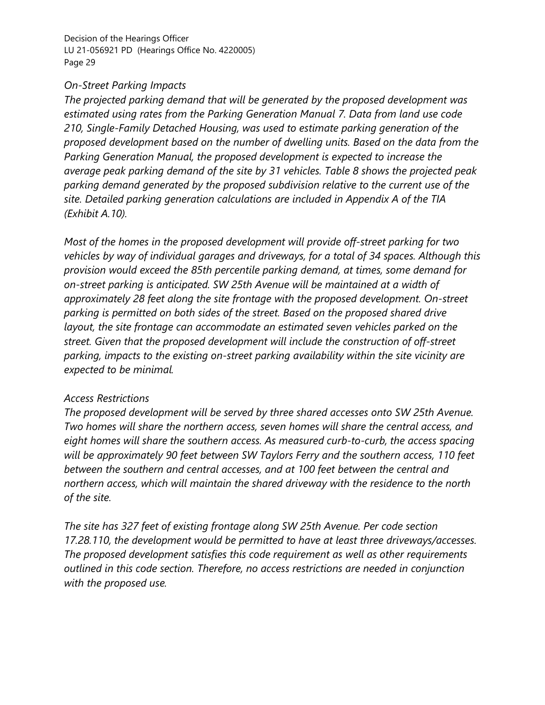#### *On-Street Parking Impacts*

*The projected parking demand that will be generated by the proposed development was estimated using rates from the Parking Generation Manual 7. Data from land use code 210, Single-Family Detached Housing, was used to estimate parking generation of the proposed development based on the number of dwelling units. Based on the data from the Parking Generation Manual, the proposed development is expected to increase the average peak parking demand of the site by 31 vehicles. Table 8 shows the projected peak parking demand generated by the proposed subdivision relative to the current use of the site. Detailed parking generation calculations are included in Appendix A of the TIA (Exhibit A.10).*

*Most of the homes in the proposed development will provide off-street parking for two vehicles by way of individual garages and driveways, for a total of 34 spaces. Although this provision would exceed the 85th percentile parking demand, at times, some demand for on-street parking is anticipated. SW 25th Avenue will be maintained at a width of approximately 28 feet along the site frontage with the proposed development. On-street parking is permitted on both sides of the street. Based on the proposed shared drive layout, the site frontage can accommodate an estimated seven vehicles parked on the street. Given that the proposed development will include the construction of off-street parking, impacts to the existing on-street parking availability within the site vicinity are expected to be minimal.*

#### *Access Restrictions*

*The proposed development will be served by three shared accesses onto SW 25th Avenue. Two homes will share the northern access, seven homes will share the central access, and eight homes will share the southern access. As measured curb-to-curb, the access spacing will be approximately 90 feet between SW Taylors Ferry and the southern access, 110 feet between the southern and central accesses, and at 100 feet between the central and northern access, which will maintain the shared driveway with the residence to the north of the site.*

*The site has 327 feet of existing frontage along SW 25th Avenue. Per code section 17.28.110, the development would be permitted to have at least three driveways/accesses. The proposed development satisfies this code requirement as well as other requirements outlined in this code section. Therefore, no access restrictions are needed in conjunction with the proposed use.*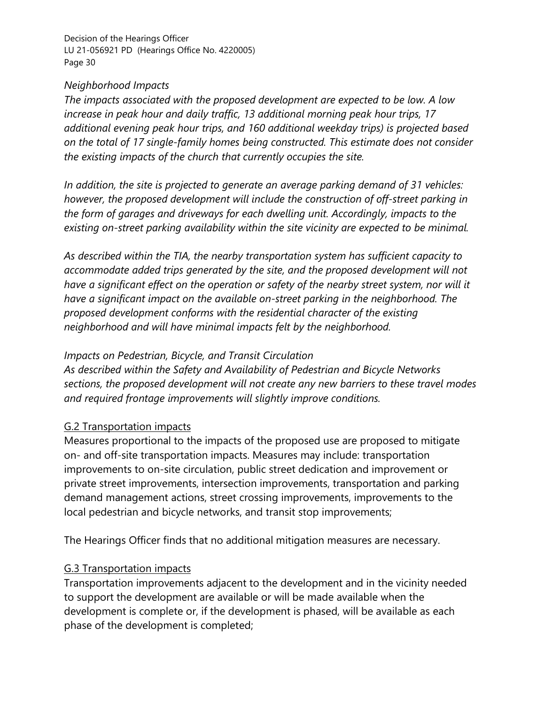#### *Neighborhood Impacts*

*The impacts associated with the proposed development are expected to be low. A low increase in peak hour and daily traffic, 13 additional morning peak hour trips, 17 additional evening peak hour trips, and 160 additional weekday trips) is projected based on the total of 17 single-family homes being constructed. This estimate does not consider the existing impacts of the church that currently occupies the site.*

*In addition, the site is projected to generate an average parking demand of 31 vehicles: however, the proposed development will include the construction of off-street parking in the form of garages and driveways for each dwelling unit. Accordingly, impacts to the existing on-street parking availability within the site vicinity are expected to be minimal.*

*As described within the TIA, the nearby transportation system has sufficient capacity to accommodate added trips generated by the site, and the proposed development will not have a significant effect on the operation or safety of the nearby street system, nor will it have a significant impact on the available on-street parking in the neighborhood. The proposed development conforms with the residential character of the existing neighborhood and will have minimal impacts felt by the neighborhood.*

## *Impacts on Pedestrian, Bicycle, and Transit Circulation*

*As described within the Safety and Availability of Pedestrian and Bicycle Networks sections, the proposed development will not create any new barriers to these travel modes and required frontage improvements will slightly improve conditions.*

## G.2 Transportation impacts

Measures proportional to the impacts of the proposed use are proposed to mitigate on- and off-site transportation impacts. Measures may include: transportation improvements to on-site circulation, public street dedication and improvement or private street improvements, intersection improvements, transportation and parking demand management actions, street crossing improvements, improvements to the local pedestrian and bicycle networks, and transit stop improvements;

The Hearings Officer finds that no additional mitigation measures are necessary.

## G.3 Transportation impacts

Transportation improvements adjacent to the development and in the vicinity needed to support the development are available or will be made available when the development is complete or, if the development is phased, will be available as each phase of the development is completed;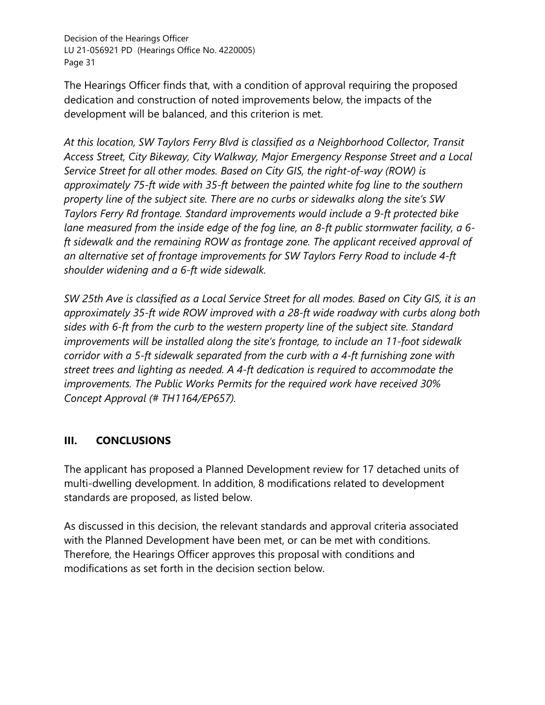The Hearings Officer finds that, with a condition of approval requiring the proposed dedication and construction of noted improvements below, the impacts of the development will be balanced, and this criterion is met.

*At this location, SW Taylors Ferry Blvd is classified as a Neighborhood Collector, Transit Access Street, City Bikeway, City Walkway, Major Emergency Response Street and a Local Service Street for all other modes. Based on City GIS, the right-of-way (ROW) is approximately 75-ft wide with 35-ft between the painted white fog line to the southern property line of the subject site. There are no curbs or sidewalks along the site's SW Taylors Ferry Rd frontage. Standard improvements would include a 9-ft protected bike lane measured from the inside edge of the fog line, an 8-ft public stormwater facility, a 6 ft sidewalk and the remaining ROW as frontage zone. The applicant received approval of an alternative set of frontage improvements for SW Taylors Ferry Road to include 4-ft shoulder widening and a 6-ft wide sidewalk.* 

*SW 25th Ave is classified as a Local Service Street for all modes. Based on City GIS, it is an approximately 35-ft wide ROW improved with a 28-ft wide roadway with curbs along both sides with 6-ft from the curb to the western property line of the subject site. Standard improvements will be installed along the site's frontage, to include an 11-foot sidewalk corridor with a 5-ft sidewalk separated from the curb with a 4-ft furnishing zone with street trees and lighting as needed. A 4-ft dedication is required to accommodate the improvements. The Public Works Permits for the required work have received 30% Concept Approval (# TH1164/EP657).*

## **III. CONCLUSIONS**

The applicant has proposed a Planned Development review for 17 detached units of multi-dwelling development. In addition, 8 modifications related to development standards are proposed, as listed below.

As discussed in this decision, the relevant standards and approval criteria associated with the Planned Development have been met, or can be met with conditions. Therefore, the Hearings Officer approves this proposal with conditions and modifications as set forth in the decision section below.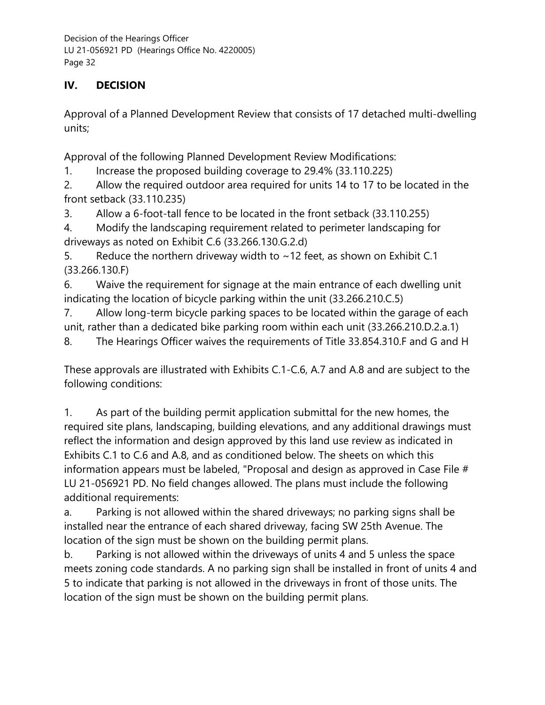# **IV. DECISION**

Approval of a Planned Development Review that consists of 17 detached multi-dwelling units;

Approval of the following Planned Development Review Modifications:

1. Increase the proposed building coverage to 29.4% (33.110.225)

2. Allow the required outdoor area required for units 14 to 17 to be located in the front setback (33.110.235)

3. Allow a 6-foot-tall fence to be located in the front setback (33.110.255)

4. Modify the landscaping requirement related to perimeter landscaping for driveways as noted on Exhibit C.6 (33.266.130.G.2.d)

5. Reduce the northern driveway width to  $\sim$  12 feet, as shown on Exhibit C.1 (33.266.130.F)

6. Waive the requirement for signage at the main entrance of each dwelling unit indicating the location of bicycle parking within the unit (33.266.210.C.5)

7. Allow long-term bicycle parking spaces to be located within the garage of each unit, rather than a dedicated bike parking room within each unit (33.266.210.D.2.a.1)

8. The Hearings Officer waives the requirements of Title 33.854.310.F and G and H

These approvals are illustrated with Exhibits C.1-C.6, A.7 and A.8 and are subject to the following conditions:

1. As part of the building permit application submittal for the new homes, the required site plans, landscaping, building elevations, and any additional drawings must reflect the information and design approved by this land use review as indicated in Exhibits C.1 to C.6 and A.8, and as conditioned below. The sheets on which this information appears must be labeled, "Proposal and design as approved in Case File # LU 21-056921 PD. No field changes allowed. The plans must include the following additional requirements:

a. Parking is not allowed within the shared driveways; no parking signs shall be installed near the entrance of each shared driveway, facing SW 25th Avenue. The location of the sign must be shown on the building permit plans.

b. Parking is not allowed within the driveways of units 4 and 5 unless the space meets zoning code standards. A no parking sign shall be installed in front of units 4 and 5 to indicate that parking is not allowed in the driveways in front of those units. The location of the sign must be shown on the building permit plans.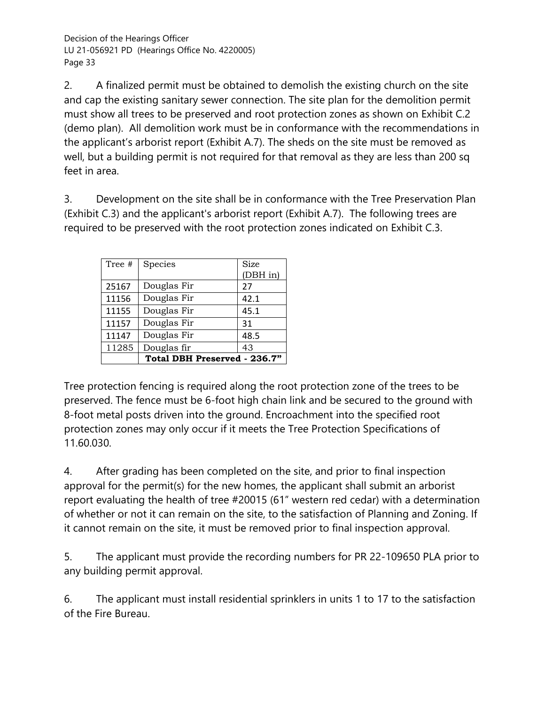2. A finalized permit must be obtained to demolish the existing church on the site and cap the existing sanitary sewer connection. The site plan for the demolition permit must show all trees to be preserved and root protection zones as shown on Exhibit C.2 (demo plan). All demolition work must be in conformance with the recommendations in the applicant's arborist report (Exhibit A.7). The sheds on the site must be removed as well, but a building permit is not required for that removal as they are less than 200 sq feet in area.

3. Development on the site shall be in conformance with the Tree Preservation Plan (Exhibit C.3) and the applicant's arborist report (Exhibit A.7). The following trees are required to be preserved with the root protection zones indicated on Exhibit C.3.

| Tree # | Species                      | Size<br>(DBH in) |
|--------|------------------------------|------------------|
| 25167  | Douglas Fir                  | 27               |
| 11156  | Douglas Fir                  | 42.1             |
| 11155  | Douglas Fir                  | 45.1             |
| 11157  | Douglas Fir                  | 31               |
| 11147  | Douglas Fir                  | 48.5             |
| 11285  | Douglas fir                  | 43               |
|        | Total DBH Preserved - 236.7" |                  |

Tree protection fencing is required along the root protection zone of the trees to be preserved. The fence must be 6-foot high chain link and be secured to the ground with 8-foot metal posts driven into the ground. Encroachment into the specified root protection zones may only occur if it meets the Tree Protection Specifications of 11.60.030.

4. After grading has been completed on the site, and prior to final inspection approval for the permit(s) for the new homes, the applicant shall submit an arborist report evaluating the health of tree #20015 (61" western red cedar) with a determination of whether or not it can remain on the site, to the satisfaction of Planning and Zoning. If it cannot remain on the site, it must be removed prior to final inspection approval.

5. The applicant must provide the recording numbers for PR 22-109650 PLA prior to any building permit approval.

6. The applicant must install residential sprinklers in units 1 to 17 to the satisfaction of the Fire Bureau.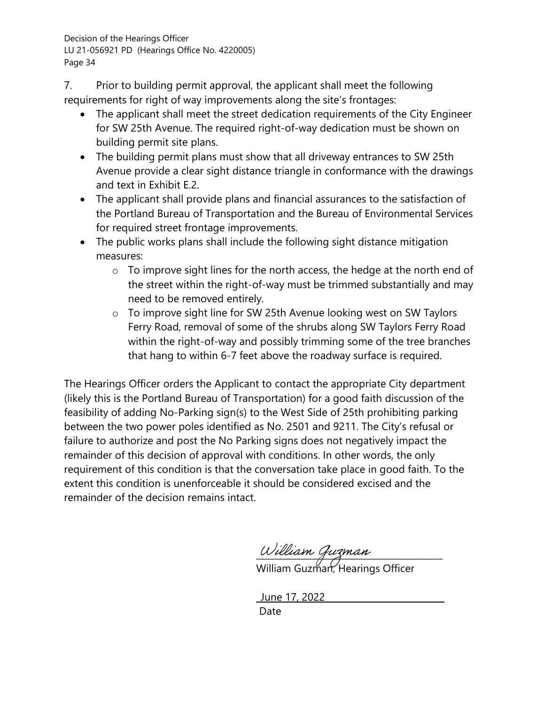7. Prior to building permit approval, the applicant shall meet the following requirements for right of way improvements along the site's frontages:

- The applicant shall meet the street dedication requirements of the City Engineer for SW 25th Avenue. The required right-of-way dedication must be shown on building permit site plans.
- The building permit plans must show that all driveway entrances to SW 25th Avenue provide a clear sight distance triangle in conformance with the drawings and text in Exhibit E.2.
- The applicant shall provide plans and financial assurances to the satisfaction of the Portland Bureau of Transportation and the Bureau of Environmental Services for required street frontage improvements.
- The public works plans shall include the following sight distance mitigation measures:
	- o To improve sight lines for the north access, the hedge at the north end of the street within the right-of-way must be trimmed substantially and may need to be removed entirely.
	- o To improve sight line for SW 25th Avenue looking west on SW Taylors Ferry Road, removal of some of the shrubs along SW Taylors Ferry Road within the right-of-way and possibly trimming some of the tree branches that hang to within 6-7 feet above the roadway surface is required.

The Hearings Officer orders the Applicant to contact the appropriate City department (likely this is the Portland Bureau of Transportation) for a good faith discussion of the feasibility of adding No-Parking sign(s) to the West Side of 25th prohibiting parking between the two power poles identified as No. 2501 and 9211. The City's refusal or failure to authorize and post the No Parking signs does not negatively impact the remainder of this decision of approval with conditions. In other words, the only requirement of this condition is that the conversation take place in good faith. To the extent this condition is unenforceable it should be considered excised and the remainder of the decision remains intact.

 $w$ illiam gibzman William Guzman, Hearings Officer

 \_June 17, 2022\_\_\_\_\_\_\_\_\_\_\_\_\_\_\_\_\_\_\_\_\_\_\_\_\_\_\_ discussion of the contract of the contract of the Date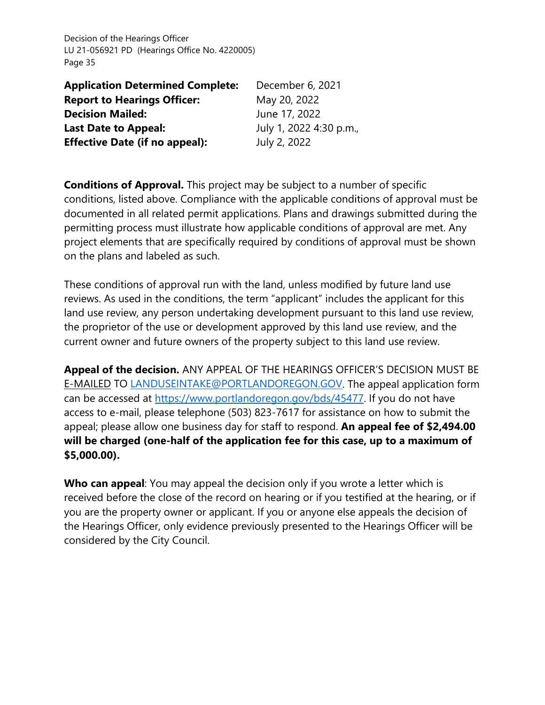| <b>Application Determined Complete:</b> | December 6, 2021        |
|-----------------------------------------|-------------------------|
| <b>Report to Hearings Officer:</b>      | May 20, 2022            |
| <b>Decision Mailed:</b>                 | June 17, 2022           |
| <b>Last Date to Appeal:</b>             | July 1, 2022 4:30 p.m., |
| <b>Effective Date (if no appeal):</b>   | July 2, 2022            |

**Conditions of Approval.** This project may be subject to a number of specific conditions, listed above. Compliance with the applicable conditions of approval must be documented in all related permit applications. Plans and drawings submitted during the permitting process must illustrate how applicable conditions of approval are met. Any project elements that are specifically required by conditions of approval must be shown on the plans and labeled as such.

These conditions of approval run with the land, unless modified by future land use reviews. As used in the conditions, the term "applicant" includes the applicant for this land use review, any person undertaking development pursuant to this land use review, the proprietor of the use or development approved by this land use review, and the current owner and future owners of the property subject to this land use review.

**Appeal of the decision.** ANY APPEAL OF THE HEARINGS OFFICER'S DECISION MUST BE E-MAILED TO [LANDUSEINTAKE@PORTLANDOREGON.GOV.](mailto:LANDUSEINTAKE@PORTLANDOREGON.GOV) The appeal application form can be accessed at [https://www.portlandoregon.gov/bds/45477.](https://www.portlandoregon.gov/bds/45477) If you do not have access to e-mail, please telephone (503) 823-7617 for assistance on how to submit the appeal; please allow one business day for staff to respond. **An appeal fee of \$2,494.00 will be charged (one-half of the application fee for this case, up to a maximum of \$5,000.00).** 

**Who can appeal**: You may appeal the decision only if you wrote a letter which is received before the close of the record on hearing or if you testified at the hearing, or if you are the property owner or applicant. If you or anyone else appeals the decision of the Hearings Officer, only evidence previously presented to the Hearings Officer will be considered by the City Council.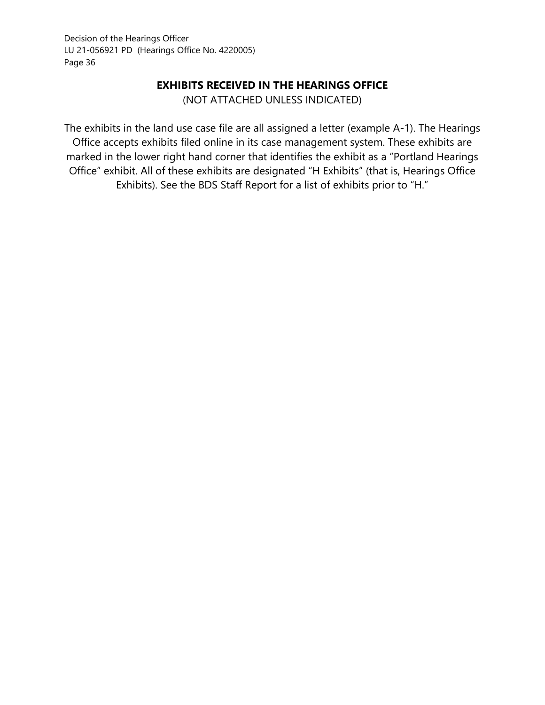### **EXHIBITS RECEIVED IN THE HEARINGS OFFICE**

(NOT ATTACHED UNLESS INDICATED)

The exhibits in the land use case file are all assigned a letter (example A-1). The Hearings Office accepts exhibits filed online in its case management system. These exhibits are marked in the lower right hand corner that identifies the exhibit as a "Portland Hearings Office" exhibit. All of these exhibits are designated "H Exhibits" (that is, Hearings Office Exhibits). See the BDS Staff Report for a list of exhibits prior to "H."